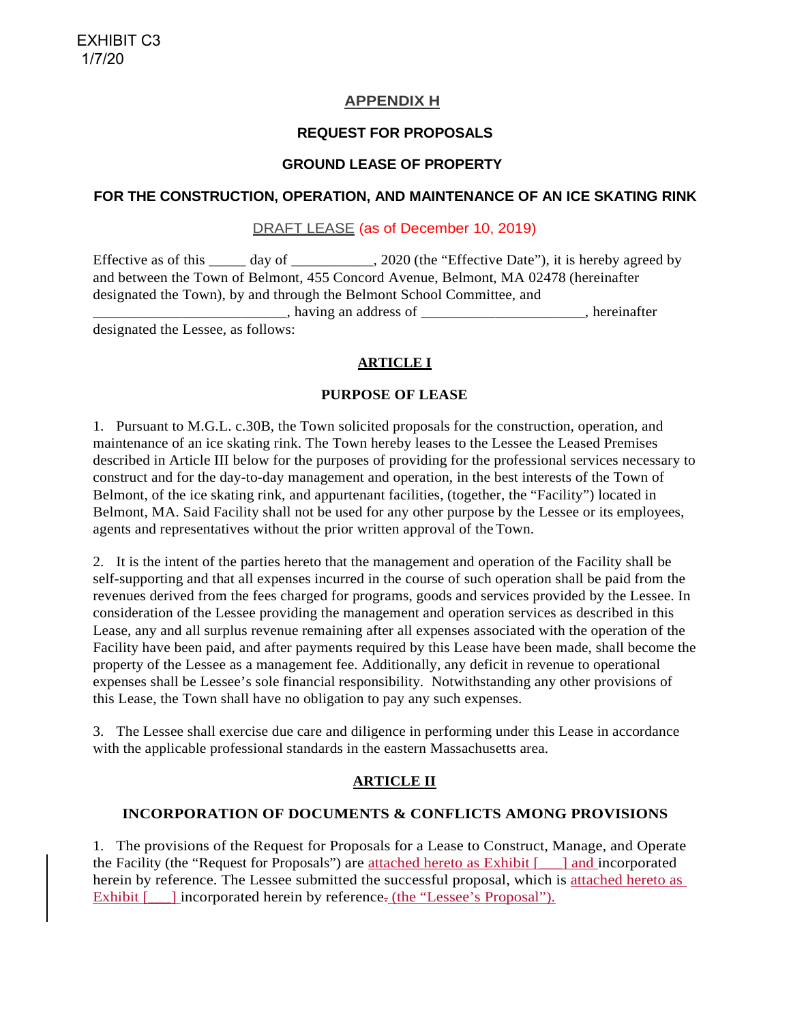## **APPENDIX H**

## **REQUEST FOR PROPOSALS**

## **GROUND LEASE OF PROPERTY**

## **FOR THE CONSTRUCTION, OPERATION, AND MAINTENANCE OF AN ICE SKATING RINK**

## DRAFT LEASE (as of December 10, 2019)

Effective as of this \_\_\_\_\_ day of \_\_\_\_\_\_\_\_\_\_, 2020 (the "Effective Date"), it is hereby agreed by and between the Town of Belmont, 455 Concord Avenue, Belmont, MA 02478 (hereinafter designated the Town), by and through the Belmont School Committee, and \_\_\_\_\_\_\_\_\_\_\_\_\_\_\_\_\_\_\_\_\_\_\_\_\_\_, having an address of \_\_\_\_\_\_\_\_\_\_\_\_\_\_\_\_\_\_\_\_\_\_, hereinafter

designated the Lessee, as follows:

### **ARTICLE I**

#### **PURPOSE OF LEASE**

1. Pursuant to M.G.L. c.30B, the Town solicited proposals for the construction, operation, and maintenance of an ice skating rink. The Town hereby leases to the Lessee the Leased Premises described in Article III below for the purposes of providing for the professional services necessary to construct and for the day-to-day management and operation, in the best interests of the Town of Belmont, of the ice skating rink, and appurtenant facilities, (together, the "Facility") located in Belmont, MA. Said Facility shall not be used for any other purpose by the Lessee or its employees, agents and representatives without the prior written approval of the Town.

2. It is the intent of the parties hereto that the management and operation of the Facility shall be self-supporting and that all expenses incurred in the course of such operation shall be paid from the revenues derived from the fees charged for programs, goods and services provided by the Lessee. In consideration of the Lessee providing the management and operation services as described in this Lease, any and all surplus revenue remaining after all expenses associated with the operation of the Facility have been paid, and after payments required by this Lease have been made, shall become the property of the Lessee as a management fee. Additionally, any deficit in revenue to operational expenses shall be Lessee's sole financial responsibility. Notwithstanding any other provisions of this Lease, the Town shall have no obligation to pay any such expenses.

3. The Lessee shall exercise due care and diligence in performing under this Lease in accordance with the applicable professional standards in the eastern Massachusetts area.

## **ARTICLE II**

#### **INCORPORATION OF DOCUMENTS & CONFLICTS AMONG PROVISIONS**

1. The provisions of the Request for Proposals for a Lease to Construct, Manage, and Operate the Facility (the "Request for Proposals") are attached hereto as Exhibit [\_\_\_] and incorporated herein by reference. The Lessee submitted the successful proposal, which is attached hereto as Exhibit  $\lceil \cdot \cdot \rceil$  incorporated herein by reference. (the "Lessee's Proposal").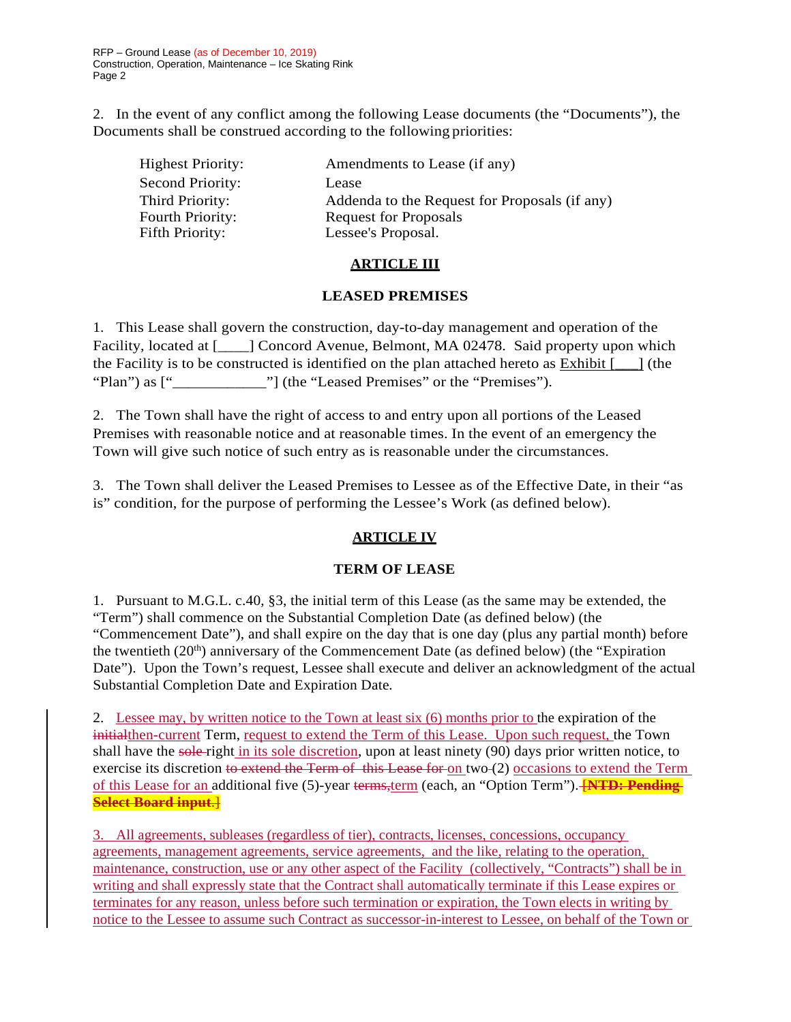2. In the event of any conflict among the following Lease documents (the "Documents"), the Documents shall be construed according to the following priorities:

| <b>Highest Priority:</b> | Amendments to Lease (if any)                  |
|--------------------------|-----------------------------------------------|
| Second Priority:         | Lease                                         |
| Third Priority:          | Addenda to the Request for Proposals (if any) |
| Fourth Priority:         | <b>Request for Proposals</b>                  |
| Fifth Priority:          | Lessee's Proposal.                            |

## **ARTICLE III**

### **LEASED PREMISES**

1. This Lease shall govern the construction, day-to-day management and operation of the Facility, located at [\_\_\_\_] Concord Avenue, Belmont, MA 02478. Said property upon which the Facility is to be constructed is identified on the plan attached hereto as Exhibit  $\lceil \quad \rceil$  (the "Plan") as  $\left[\frac{m}{2} \right]$  (the "Leased Premises" or the "Premises").

2. The Town shall have the right of access to and entry upon all portions of the Leased Premises with reasonable notice and at reasonable times. In the event of an emergency the Town will give such notice of such entry as is reasonable under the circumstances.

3. The Town shall deliver the Leased Premises to Lessee as of the Effective Date, in their "as is" condition, for the purpose of performing the Lessee's Work (as defined below).

# **ARTICLE IV**

## **TERM OF LEASE**

1. Pursuant to M.G.L. c.40, §3, the initial term of this Lease (as the same may be extended, the "Term") shall commence on the Substantial Completion Date (as defined below) (the "Commencement Date"), and shall expire on the day that is one day (plus any partial month) before the twentieth  $(20<sup>th</sup>)$  anniversary of the Commencement Date (as defined below) (the "Expiration" Date"). Upon the Town's request, Lessee shall execute and deliver an acknowledgment of the actual Substantial Completion Date and Expiration Date.

2. Lessee may, by written notice to the Town at least six (6) months prior to the expiration of the initialthen-current Term, request to extend the Term of this Lease. Upon such request, the Town shall have the sole-right in its sole discretion, upon at least ninety (90) days prior written notice, to exercise its discretion to extend the Term of this Lease for on two (2) occasions to extend the Term of this Lease for an additional five (5)-year terms,term (each, an "Option Term"). [**NTD: Pending Select Board input**.]

3. All agreements, subleases (regardless of tier), contracts, licenses, concessions, occupancy agreements, management agreements, service agreements, and the like, relating to the operation, maintenance, construction, use or any other aspect of the Facility (collectively, "Contracts") shall be in writing and shall expressly state that the Contract shall automatically terminate if this Lease expires or terminates for any reason, unless before such termination or expiration, the Town elects in writing by notice to the Lessee to assume such Contract as successor-in-interest to Lessee, on behalf of the Town or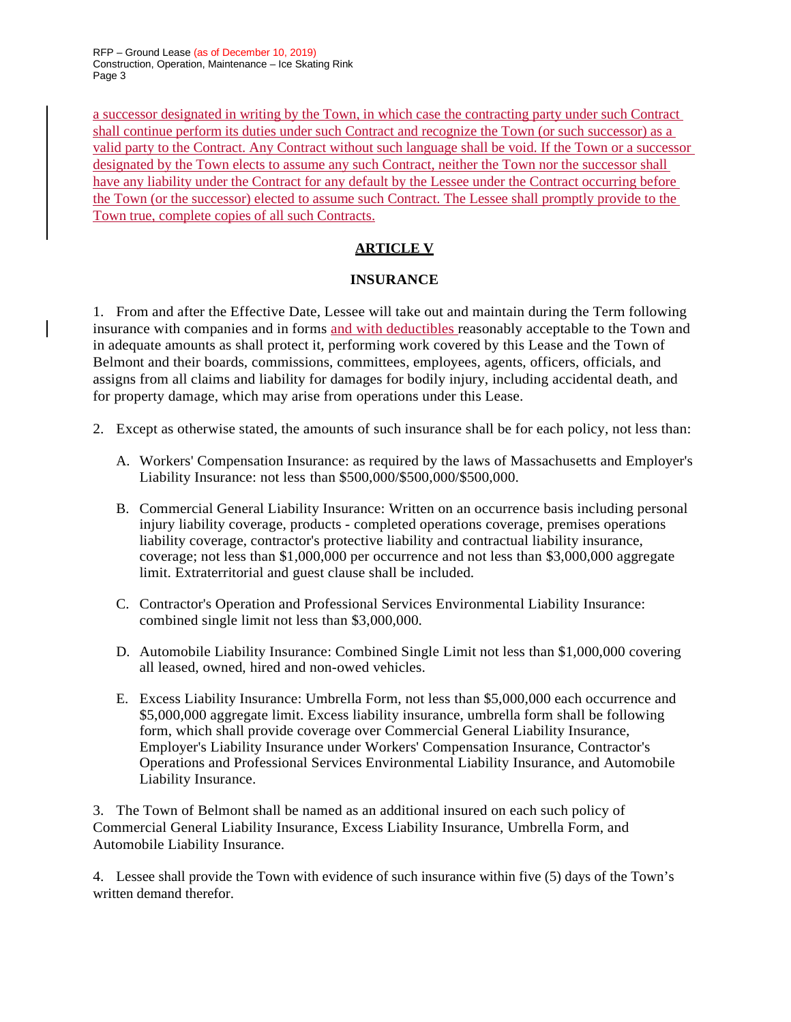RFP – Ground Lease (as of December 10, 2019) Construction, Operation, Maintenance – Ice Skating Rink Page 3

a successor designated in writing by the Town, in which case the contracting party under such Contract shall continue perform its duties under such Contract and recognize the Town (or such successor) as a valid party to the Contract. Any Contract without such language shall be void. If the Town or a successor designated by the Town elects to assume any such Contract, neither the Town nor the successor shall have any liability under the Contract for any default by the Lessee under the Contract occurring before the Town (or the successor) elected to assume such Contract. The Lessee shall promptly provide to the Town true, complete copies of all such Contracts.

## **ARTICLE V**

### **INSURANCE**

1. From and after the Effective Date, Lessee will take out and maintain during the Term following insurance with companies and in forms and with deductibles reasonably acceptable to the Town and in adequate amounts as shall protect it, performing work covered by this Lease and the Town of Belmont and their boards, commissions, committees, employees, agents, officers, officials, and assigns from all claims and liability for damages for bodily injury, including accidental death, and for property damage, which may arise from operations under this Lease.

- 2. Except as otherwise stated, the amounts of such insurance shall be for each policy, not less than:
	- A. Workers' Compensation Insurance: as required by the laws of Massachusetts and Employer's Liability Insurance: not less than \$500,000/\$500,000/\$500,000.
	- B. Commercial General Liability Insurance: Written on an occurrence basis including personal injury liability coverage, products - completed operations coverage, premises operations liability coverage, contractor's protective liability and contractual liability insurance, coverage; not less than \$1,000,000 per occurrence and not less than \$3,000,000 aggregate limit. Extraterritorial and guest clause shall be included.
	- C. Contractor's Operation and Professional Services Environmental Liability Insurance: combined single limit not less than \$3,000,000.
	- D. Automobile Liability Insurance: Combined Single Limit not less than \$1,000,000 covering all leased, owned, hired and non-owed vehicles.
	- E. Excess Liability Insurance: Umbrella Form, not less than \$5,000,000 each occurrence and \$5,000,000 aggregate limit. Excess liability insurance, umbrella form shall be following form, which shall provide coverage over Commercial General Liability Insurance, Employer's Liability Insurance under Workers' Compensation Insurance, Contractor's Operations and Professional Services Environmental Liability Insurance, and Automobile Liability Insurance.

3. The Town of Belmont shall be named as an additional insured on each such policy of Commercial General Liability Insurance, Excess Liability Insurance, Umbrella Form, and Automobile Liability Insurance.

4. Lessee shall provide the Town with evidence of such insurance within five (5) days of the Town's written demand therefor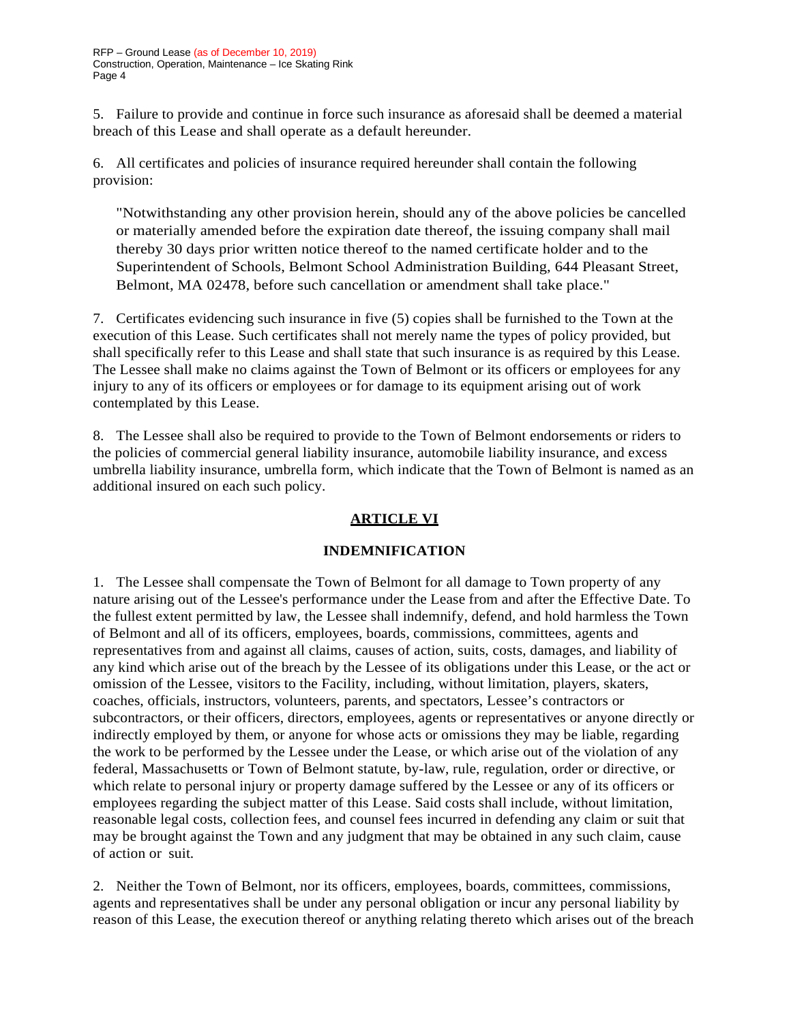5. Failure to provide and continue in force such insurance as aforesaid shall be deemed a material breach of this Lease and shall operate as a default hereunder.

6. All certificates and policies of insurance required hereunder shall contain the following provision:

"Notwithstanding any other provision herein, should any of the above policies be cancelled or materially amended before the expiration date thereof, the issuing company shall mail thereby 30 days prior written notice thereof to the named certificate holder and to the Superintendent of Schools, Belmont School Administration Building, 644 Pleasant Street, Belmont, MA 02478, before such cancellation or amendment shall take place."

7. Certificates evidencing such insurance in five (5) copies shall be furnished to the Town at the execution of this Lease. Such certificates shall not merely name the types of policy provided, but shall specifically refer to this Lease and shall state that such insurance is as required by this Lease. The Lessee shall make no claims against the Town of Belmont or its officers or employees for any injury to any of its officers or employees or for damage to its equipment arising out of work contemplated by this Lease.

8. The Lessee shall also be required to provide to the Town of Belmont endorsements or riders to the policies of commercial general liability insurance, automobile liability insurance, and excess umbrella liability insurance, umbrella form, which indicate that the Town of Belmont is named as an additional insured on each such policy.

# **ARTICLE VI**

# **INDEMNIFICATION**

1. The Lessee shall compensate the Town of Belmont for all damage to Town property of any nature arising out of the Lessee's performance under the Lease from and after the Effective Date. To the fullest extent permitted by law, the Lessee shall indemnify, defend, and hold harmless the Town of Belmont and all of its officers, employees, boards, commissions, committees, agents and representatives from and against all claims, causes of action, suits, costs, damages, and liability of any kind which arise out of the breach by the Lessee of its obligations under this Lease, or the act or omission of the Lessee, visitors to the Facility, including, without limitation, players, skaters, coaches, officials, instructors, volunteers, parents, and spectators, Lessee's contractors or subcontractors, or their officers, directors, employees, agents or representatives or anyone directly or indirectly employed by them, or anyone for whose acts or omissions they may be liable, regarding the work to be performed by the Lessee under the Lease, or which arise out of the violation of any federal, Massachusetts or Town of Belmont statute, by-law, rule, regulation, order or directive, or which relate to personal injury or property damage suffered by the Lessee or any of its officers or employees regarding the subject matter of this Lease. Said costs shall include, without limitation, reasonable legal costs, collection fees, and counsel fees incurred in defending any claim or suit that may be brought against the Town and any judgment that may be obtained in any such claim, cause of action or suit.

2. Neither the Town of Belmont, nor its officers, employees, boards, committees, commissions, agents and representatives shall be under any personal obligation or incur any personal liability by reason of this Lease, the execution thereof or anything relating thereto which arises out of the breach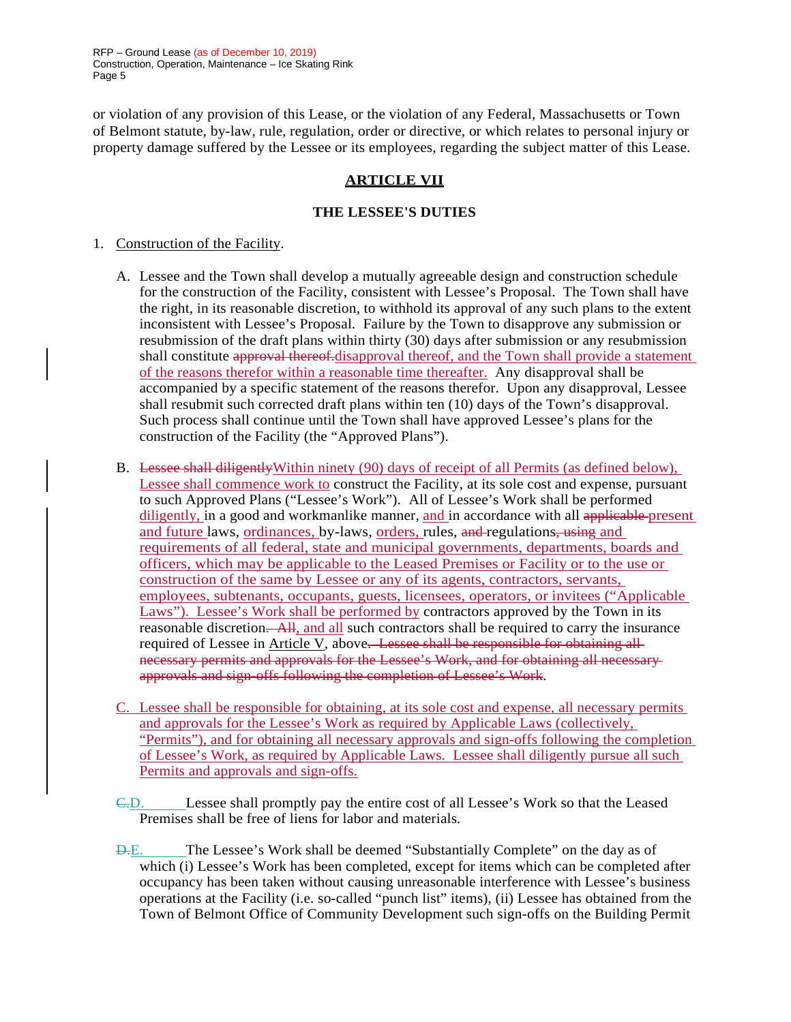RFP – Ground Lease (as of December 10, 2019) Construction, Operation, Maintenance – Ice Skating Rink Page 5

or violation of any provision of this Lease, or the violation of any Federal, Massachusetts or Town of Belmont statute, by-law, rule, regulation, order or directive, or which relates to personal injury or property damage suffered by the Lessee or its employees, regarding the subject matter of this Lease.

### **ARTICLE VII**

#### **THE LESSEE'S DUTIES**

- 1. Construction of the Facility.
	- A. Lessee and the Town shall develop a mutually agreeable design and construction schedule for the construction of the Facility, consistent with Lessee's Proposal. The Town shall have the right, in its reasonable discretion, to withhold its approval of any such plans to the extent inconsistent with Lessee's Proposal. Failure by the Town to disapprove any submission or resubmission of the draft plans within thirty (30) days after submission or any resubmission shall constitute approval thereof.disapproval thereof, and the Town shall provide a statement of the reasons therefor within a reasonable time thereafter. Any disapproval shall be accompanied by a specific statement of the reasons therefor. Upon any disapproval, Lessee shall resubmit such corrected draft plans within ten (10) days of the Town's disapproval. Such process shall continue until the Town shall have approved Lessee's plans for the construction of the Facility (the "Approved Plans").
	- B. Lessee shall diligentlyWithin ninety (90) days of receipt of all Permits (as defined below), Lessee shall commence work to construct the Facility, at its sole cost and expense, pursuant to such Approved Plans ("Lessee's Work"). All of Lessee's Work shall be performed diligently, in a good and workmanlike manner, and in accordance with all applicable present and future laws, ordinances, by-laws, orders, rules, and regulations, using and requirements of all federal, state and municipal governments, departments, boards and officers, which may be applicable to the Leased Premises or Facility or to the use or construction of the same by Lessee or any of its agents, contractors, servants, employees, subtenants, occupants, guests, licensees, operators, or invitees ("Applicable Laws"). Lessee's Work shall be performed by contractors approved by the Town in its reasonable discretion. All, and all such contractors shall be required to carry the insurance required of Lessee in Article V, above. Lessee shall be responsible for obtaining allnecessary permits and approvals for the Lessee's Work, and for obtaining all necessary approvals and sign-offs following the completion of Lessee's Work.
	- C. Lessee shall be responsible for obtaining, at its sole cost and expense, all necessary permits and approvals for the Lessee's Work as required by Applicable Laws (collectively, "Permits"), and for obtaining all necessary approvals and sign-offs following the completion of Lessee's Work, as required by Applicable Laws. Lessee shall diligently pursue all such Permits and approvals and sign-offs.
	- C.D. Lessee shall promptly pay the entire cost of all Lessee's Work so that the Leased Premises shall be free of liens for labor and materials.
	- D.E. The Lessee's Work shall be deemed "Substantially Complete" on the day as of which (i) Lessee's Work has been completed, except for items which can be completed after occupancy has been taken without causing unreasonable interference with Lessee's business operations at the Facility (i.e. so-called "punch list" items), (ii) Lessee has obtained from the Town of Belmont Office of Community Development such sign-offs on the Building Permit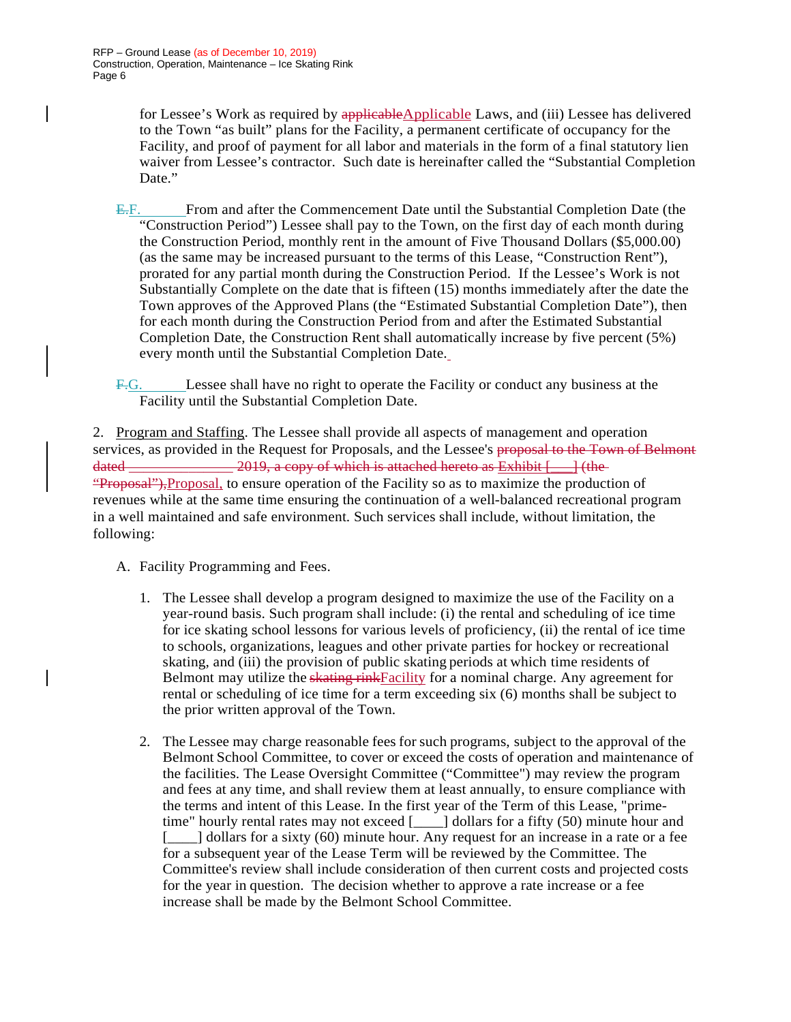for Lessee's Work as required by applicableApplicable Laws, and (iii) Lessee has delivered to the Town "as built" plans for the Facility, a permanent certificate of occupancy for the Facility, and proof of payment for all labor and materials in the form of a final statutory lien waiver from Lessee's contractor. Such date is hereinafter called the "Substantial Completion Date."

- E.F. From and after the Commencement Date until the Substantial Completion Date (the "Construction Period") Lessee shall pay to the Town, on the first day of each month during the Construction Period, monthly rent in the amount of Five Thousand Dollars (\$5,000.00) (as the same may be increased pursuant to the terms of this Lease, "Construction Rent"), prorated for any partial month during the Construction Period. If the Lessee's Work is not Substantially Complete on the date that is fifteen (15) months immediately after the date the Town approves of the Approved Plans (the "Estimated Substantial Completion Date"), then for each month during the Construction Period from and after the Estimated Substantial Completion Date, the Construction Rent shall automatically increase by five percent (5%) every month until the Substantial Completion Date.
- F.G. Lessee shall have no right to operate the Facility or conduct any business at the Facility until the Substantial Completion Date.

2. Program and Staffing. The Lessee shall provide all aspects of management and operation services, as provided in the Request for Proposals, and the Lessee's proposal to the Town of Belmont dated  $\frac{1}{\sqrt{1-\frac{1}{\sqrt{1-\frac{1}{\sqrt{1-\frac{1}{\sqrt{1-\frac{1}{\sqrt{1-\frac{1}{\sqrt{1-\frac{1}{\sqrt{1-\frac{1}{\sqrt{1-\frac{1}{\sqrt{1-\frac{1}{\sqrt{1-\frac{1}{\sqrt{1-\frac{1}{\sqrt{1-\frac{1}{\sqrt{1-\frac{1}{\sqrt{1-\frac{1}{\sqrt{1-\frac{1}{\sqrt{1-\frac{1}{\sqrt{1-\frac{1}{\sqrt{1-\frac{1}{\sqrt{1-\frac{1}{\sqrt{1-\frac{1}{\sqrt{1-\frac{1}{\sqrt{1-\frac{1}{\sqrt{1-\frac{1}{\sqrt$ "Proposal"), Proposal, to ensure operation of the Facility so as to maximize the production of revenues while at the same time ensuring the continuation of a well-balanced recreational program in a well maintained and safe environment. Such services shall include, without limitation, the following:

- A. Facility Programming and Fees.
	- 1. The Lessee shall develop a program designed to maximize the use of the Facility on a year-round basis. Such program shall include: (i) the rental and scheduling of ice time for ice skating school lessons for various levels of proficiency, (ii) the rental of ice time to schools, organizations, leagues and other private parties for hockey or recreational skating, and (iii) the provision of public skating periods at which time residents of Belmont may utilize the skating rink Facility for a nominal charge. Any agreement for rental or scheduling of ice time for a term exceeding six (6) months shall be subject to the prior written approval of the Town.
	- 2. The Lessee may charge reasonable fees for such programs, subject to the approval of the Belmont School Committee, to cover or exceed the costs of operation and maintenance of the facilities. The Lease Oversight Committee ("Committee") may review the program and fees at any time, and shall review them at least annually, to ensure compliance with the terms and intent of this Lease. In the first year of the Term of this Lease, "primetime" hourly rental rates may not exceed [\_\_\_\_] dollars for a fifty (50) minute hour and [11] dollars for a sixty (60) minute hour. Any request for an increase in a rate or a fee for a subsequent year of the Lease Term will be reviewed by the Committee. The Committee's review shall include consideration of then current costs and projected costs for the year in question. The decision whether to approve a rate increase or a fee increase shall be made by the Belmont School Committee.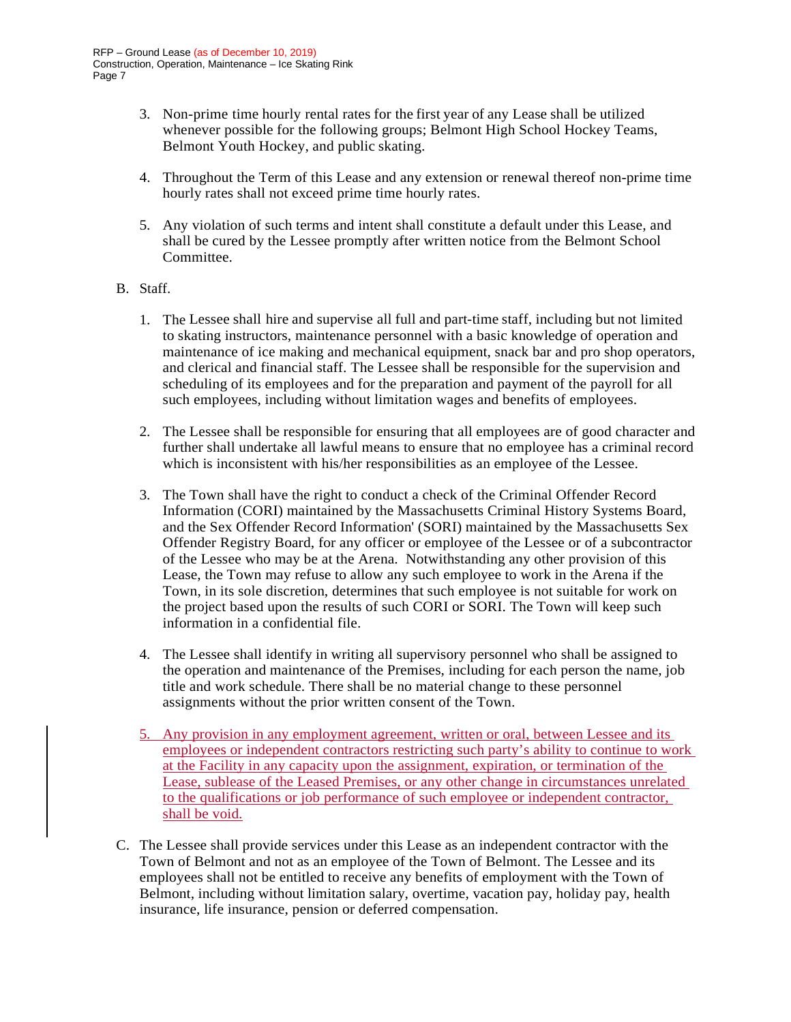- 3. Non-prime time hourly rental rates for the first year of any Lease shall be utilized whenever possible for the following groups; Belmont High School Hockey Teams, Belmont Youth Hockey, and public skating.
- 4. Throughout the Term of this Lease and any extension or renewal thereof non-prime time hourly rates shall not exceed prime time hourly rates.
- 5. Any violation of such terms and intent shall constitute a default under this Lease, and shall be cured by the Lessee promptly after written notice from the Belmont School Committee.

#### B. Staff.

- 1. The Lessee shall hire and supervise all full and part-time staff, including but not limited to skating instructors, maintenance personnel with a basic knowledge of operation and maintenance of ice making and mechanical equipment, snack bar and pro shop operators, and clerical and financial staff. The Lessee shall be responsible for the supervision and scheduling of its employees and for the preparation and payment of the payroll for all such employees, including without limitation wages and benefits of employees.
- 2. The Lessee shall be responsible for ensuring that all employees are of good character and further shall undertake all lawful means to ensure that no employee has a criminal record which is inconsistent with his/her responsibilities as an employee of the Lessee.
- 3. The Town shall have the right to conduct a check of the Criminal Offender Record Information (CORI) maintained by the Massachusetts Criminal History Systems Board, and the Sex Offender Record Information' (SORI) maintained by the Massachusetts Sex Offender Registry Board, for any officer or employee of the Lessee or of a subcontractor of the Lessee who may be at the Arena. Notwithstanding any other provision of this Lease, the Town may refuse to allow any such employee to work in the Arena if the Town, in its sole discretion, determines that such employee is not suitable for work on the project based upon the results of such CORI or SORI. The Town will keep such information in a confidential file.
- 4. The Lessee shall identify in writing all supervisory personnel who shall be assigned to the operation and maintenance of the Premises, including for each person the name, job title and work schedule. There shall be no material change to these personnel assignments without the prior written consent of the Town.
- 5. Any provision in any employment agreement, written or oral, between Lessee and its employees or independent contractors restricting such party's ability to continue to work at the Facility in any capacity upon the assignment, expiration, or termination of the Lease, sublease of the Leased Premises, or any other change in circumstances unrelated to the qualifications or job performance of such employee or independent contractor, shall be void.
- C. The Lessee shall provide services under this Lease as an independent contractor with the Town of Belmont and not as an employee of the Town of Belmont. The Lessee and its employees shall not be entitled to receive any benefits of employment with the Town of Belmont, including without limitation salary, overtime, vacation pay, holiday pay, health insurance, life insurance, pension or deferred compensation.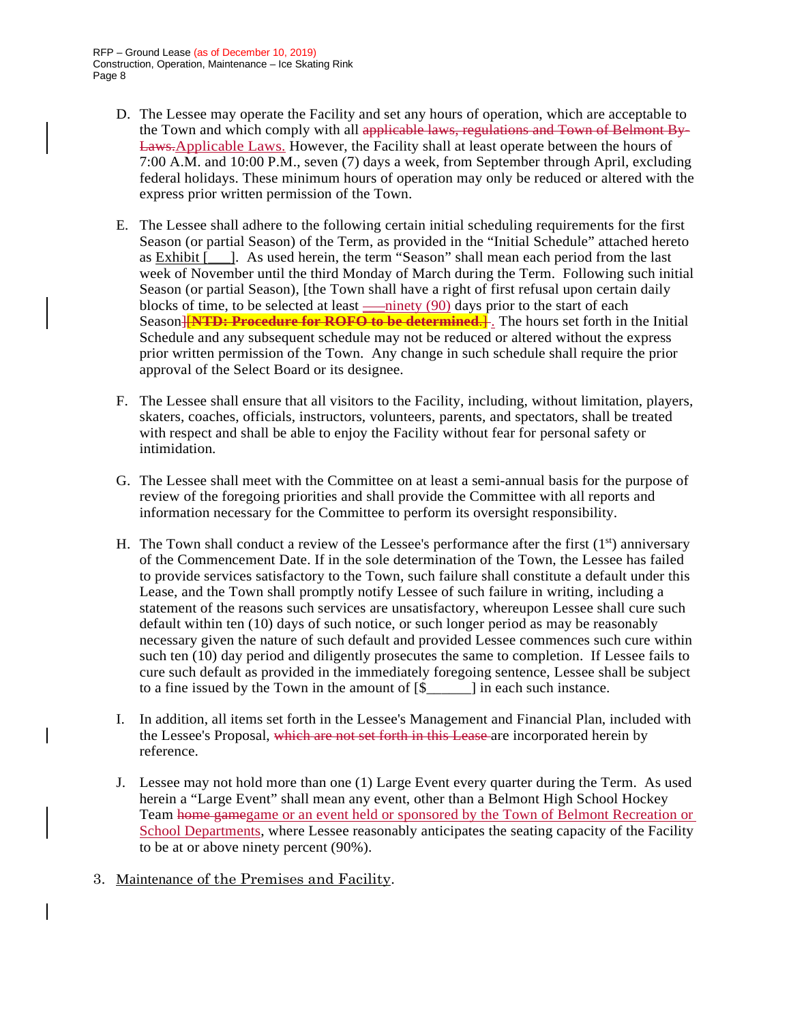- D. The Lessee may operate the Facility and set any hours of operation, which are acceptable to the Town and which comply with all applicable laws, regulations and Town of Belmont By-Laws.Applicable Laws. However, the Facility shall at least operate between the hours of 7:00 A.M. and 10:00 P.M., seven (7) days a week, from September through April, excluding federal holidays. These minimum hours of operation may only be reduced or altered with the express prior written permission of the Town.
- E. The Lessee shall adhere to the following certain initial scheduling requirements for the first Season (or partial Season) of the Term, as provided in the "Initial Schedule" attached hereto as Exhibit [\_\_\_]. As used herein, the term "Season" shall mean each period from the last week of November until the third Monday of March during the Term. Following such initial Season (or partial Season), [the Town shall have a right of first refusal upon certain daily blocks of time, to be selected at least <u>—ninety</u> (90) days prior to the start of each Season<del>][NTD: Procedure for ROFO to be determined.]</del> The hours set forth in the Initial Schedule and any subsequent schedule may not be reduced or altered without the express prior written permission of the Town. Any change in such schedule shall require the prior approval of the Select Board or its designee.
- F. The Lessee shall ensure that all visitors to the Facility, including, without limitation, players, skaters, coaches, officials, instructors, volunteers, parents, and spectators, shall be treated with respect and shall be able to enjoy the Facility without fear for personal safety or intimidation.
- G. The Lessee shall meet with the Committee on at least a semi-annual basis for the purpose of review of the foregoing priorities and shall provide the Committee with all reports and information necessary for the Committee to perform its oversight responsibility.
- H. The Town shall conduct a review of the Lessee's performance after the first  $(1<sup>st</sup>)$  anniversary of the Commencement Date. If in the sole determination of the Town, the Lessee has failed to provide services satisfactory to the Town, such failure shall constitute a default under this Lease, and the Town shall promptly notify Lessee of such failure in writing, including a statement of the reasons such services are unsatisfactory, whereupon Lessee shall cure such default within ten (10) days of such notice, or such longer period as may be reasonably necessary given the nature of such default and provided Lessee commences such cure within such ten (10) day period and diligently prosecutes the same to completion. If Lessee fails to cure such default as provided in the immediately foregoing sentence, Lessee shall be subject to a fine issued by the Town in the amount of [\$\_\_\_\_\_\_] in each such instance.
- I. In addition, all items set forth in the Lessee's Management and Financial Plan, included with the Lessee's Proposal, which are not set forth in this Lease are incorporated herein by reference.
- J. Lessee may not hold more than one (1) Large Event every quarter during the Term. As used herein a "Large Event" shall mean any event, other than a Belmont High School Hockey Team home gamegame or an event held or sponsored by the Town of Belmont Recreation or School Departments, where Lessee reasonably anticipates the seating capacity of the Facility to be at or above ninety percent (90%).
- 3. Maintenance of the Premises and Facility.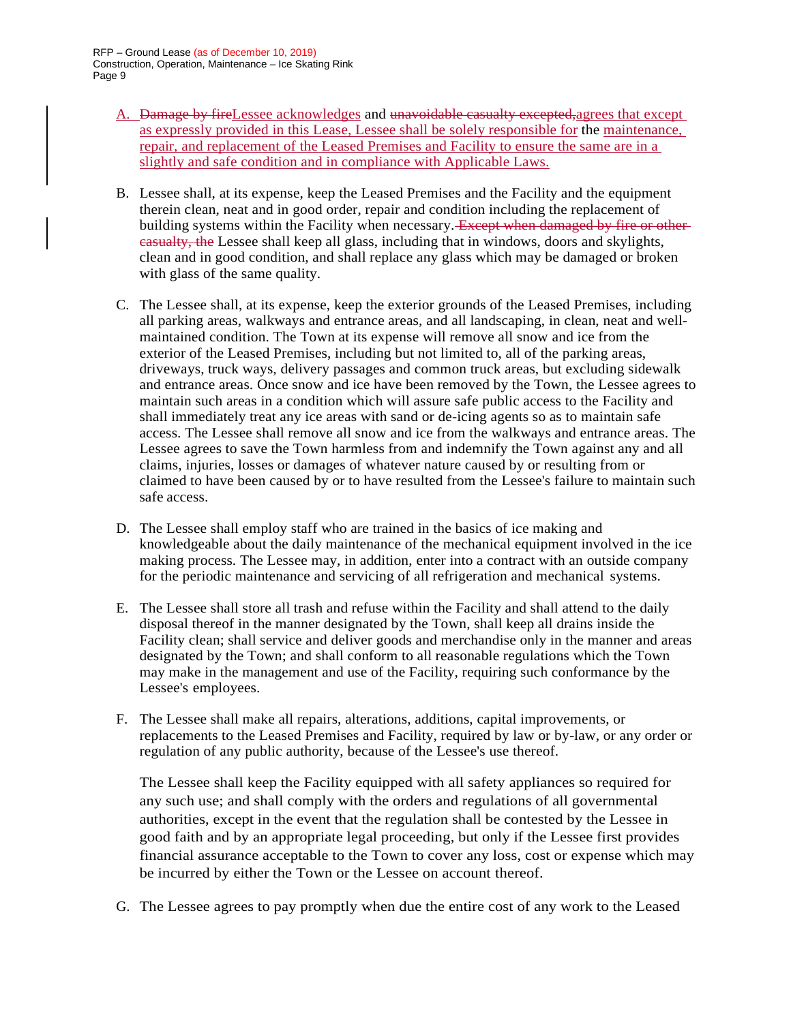- A. Damage by fireLessee acknowledges and unavoidable casualty excepted, agrees that except as expressly provided in this Lease, Lessee shall be solely responsible for the maintenance, repair, and replacement of the Leased Premises and Facility to ensure the same are in a slightly and safe condition and in compliance with Applicable Laws.
- B. Lessee shall, at its expense, keep the Leased Premises and the Facility and the equipment therein clean, neat and in good order, repair and condition including the replacement of building systems within the Facility when necessary. Except when damaged by fire or othercasualty, the Lessee shall keep all glass, including that in windows, doors and skylights, clean and in good condition, and shall replace any glass which may be damaged or broken with glass of the same quality.
- C. The Lessee shall, at its expense, keep the exterior grounds of the Leased Premises, including all parking areas, walkways and entrance areas, and all landscaping, in clean, neat and wellmaintained condition. The Town at its expense will remove all snow and ice from the exterior of the Leased Premises, including but not limited to, all of the parking areas, driveways, truck ways, delivery passages and common truck areas, but excluding sidewalk and entrance areas. Once snow and ice have been removed by the Town, the Lessee agrees to maintain such areas in a condition which will assure safe public access to the Facility and shall immediately treat any ice areas with sand or de-icing agents so as to maintain safe access. The Lessee shall remove all snow and ice from the walkways and entrance areas. The Lessee agrees to save the Town harmless from and indemnify the Town against any and all claims, injuries, losses or damages of whatever nature caused by or resulting from or claimed to have been caused by or to have resulted from the Lessee's failure to maintain such safe access.
- D. The Lessee shall employ staff who are trained in the basics of ice making and knowledgeable about the daily maintenance of the mechanical equipment involved in the ice making process. The Lessee may, in addition, enter into a contract with an outside company for the periodic maintenance and servicing of all refrigeration and mechanical systems.
- E. The Lessee shall store all trash and refuse within the Facility and shall attend to the daily disposal thereof in the manner designated by the Town, shall keep all drains inside the Facility clean; shall service and deliver goods and merchandise only in the manner and areas designated by the Town; and shall conform to all reasonable regulations which the Town may make in the management and use of the Facility, requiring such conformance by the Lessee's employees.
- F. The Lessee shall make all repairs, alterations, additions, capital improvements, or replacements to the Leased Premises and Facility, required by law or by-law, or any order or regulation of any public authority, because of the Lessee's use thereof.

The Lessee shall keep the Facility equipped with all safety appliances so required for any such use; and shall comply with the orders and regulations of all governmental authorities, except in the event that the regulation shall be contested by the Lessee in good faith and by an appropriate legal proceeding, but only if the Lessee first provides financial assurance acceptable to the Town to cover any loss, cost or expense which may be incurred by either the Town or the Lessee on account thereof.

G. The Lessee agrees to pay promptly when due the entire cost of any work to the Leased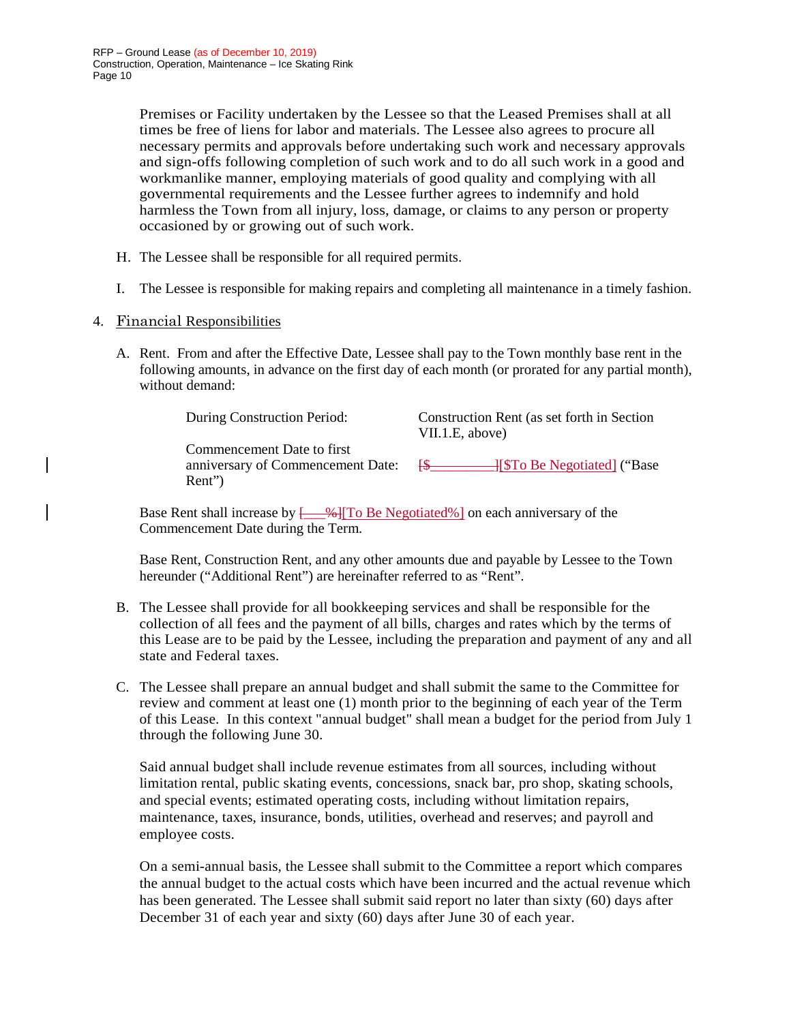Premises or Facility undertaken by the Lessee so that the Leased Premises shall at all times be free of liens for labor and materials. The Lessee also agrees to procure all necessary permits and approvals before undertaking such work and necessary approvals and sign-offs following completion of such work and to do all such work in a good and workmanlike manner, employing materials of good quality and complying with all governmental requirements and the Lessee further agrees to indemnify and hold harmless the Town from all injury, loss, damage, or claims to any person or property occasioned by or growing out of such work.

- H. The Lessee shall be responsible for all required permits.
- I. The Lessee is responsible for making repairs and completing all maintenance in a timely fashion.
- 4. Financial Responsibilities
	- A. Rent. From and after the Effective Date, Lessee shall pay to the Town monthly base rent in the following amounts, in advance on the first day of each month (or prorated for any partial month), without demand:

| During Construction Period:                                               | Construction Rent (as set forth in Section<br>VII.1.E, above) |
|---------------------------------------------------------------------------|---------------------------------------------------------------|
| Commencement Date to first<br>anniversary of Commencement Date:<br>Rent") |                                                               |

Base Rent shall increase by  $\frac{96}{100}$  To Be Negotiated%] on each anniversary of the Commencement Date during the Term.

Base Rent, Construction Rent, and any other amounts due and payable by Lessee to the Town hereunder ("Additional Rent") are hereinafter referred to as "Rent".

- B. The Lessee shall provide for all bookkeeping services and shall be responsible for the collection of all fees and the payment of all bills, charges and rates which by the terms of this Lease are to be paid by the Lessee, including the preparation and payment of any and all state and Federal taxes.
- C. The Lessee shall prepare an annual budget and shall submit the same to the Committee for review and comment at least one (1) month prior to the beginning of each year of the Term of this Lease. In this context "annual budget" shall mean a budget for the period from July 1 through the following June 30.

Said annual budget shall include revenue estimates from all sources, including without limitation rental, public skating events, concessions, snack bar, pro shop, skating schools, and special events; estimated operating costs, including without limitation repairs, maintenance, taxes, insurance, bonds, utilities, overhead and reserves; and payroll and employee costs.

On a semi-annual basis, the Lessee shall submit to the Committee a report which compares the annual budget to the actual costs which have been incurred and the actual revenue which has been generated. The Lessee shall submit said report no later than sixty (60) days after December 31 of each year and sixty (60) days after June 30 of each year.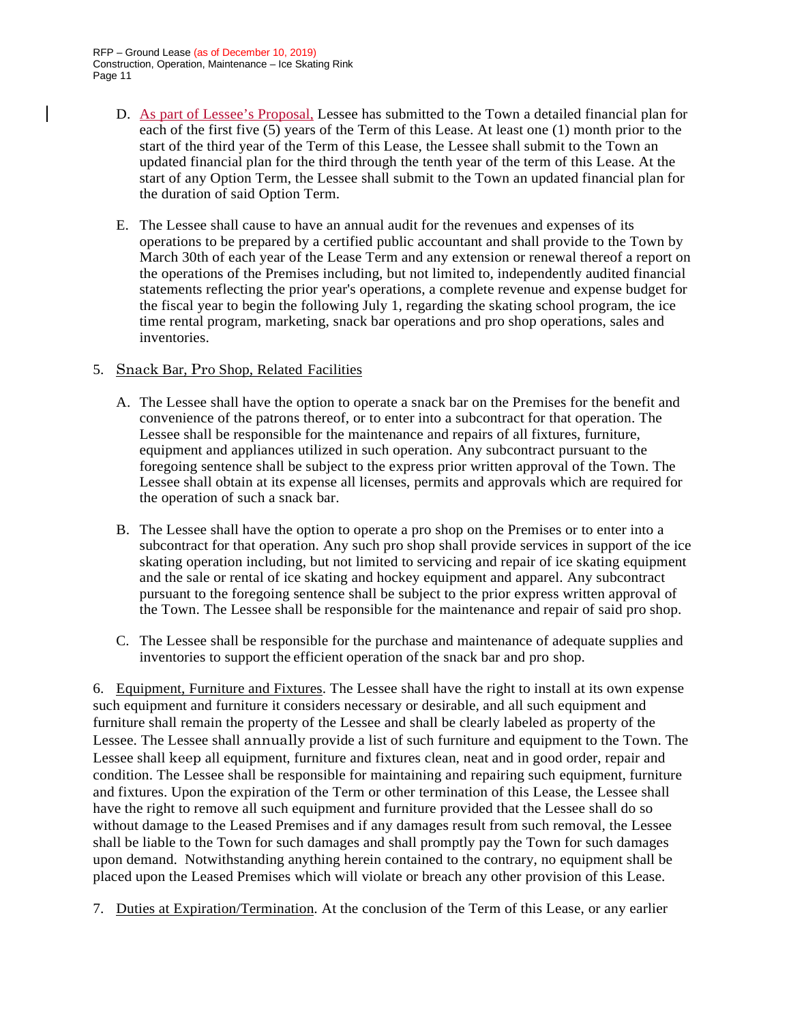- D. As part of Lessee's Proposal, Lessee has submitted to the Town a detailed financial plan for each of the first five (5) years of the Term of this Lease. At least one (1) month prior to the start of the third year of the Term of this Lease, the Lessee shall submit to the Town an updated financial plan for the third through the tenth year of the term of this Lease. At the start of any Option Term, the Lessee shall submit to the Town an updated financial plan for the duration of said Option Term.
- E. The Lessee shall cause to have an annual audit for the revenues and expenses of its operations to be prepared by a certified public accountant and shall provide to the Town by March 30th of each year of the Lease Term and any extension or renewal thereof a report on the operations of the Premises including, but not limited to, independently audited financial statements reflecting the prior year's operations, a complete revenue and expense budget for the fiscal year to begin the following July 1, regarding the skating school program, the ice time rental program, marketing, snack bar operations and pro shop operations, sales and inventories.

### 5. Snack Bar, Pro Shop, Related Facilities

- A. The Lessee shall have the option to operate a snack bar on the Premises for the benefit and convenience of the patrons thereof, or to enter into a subcontract for that operation. The Lessee shall be responsible for the maintenance and repairs of all fixtures, furniture, equipment and appliances utilized in such operation. Any subcontract pursuant to the foregoing sentence shall be subject to the express prior written approval of the Town. The Lessee shall obtain at its expense all licenses, permits and approvals which are required for the operation of such a snack bar.
- B. The Lessee shall have the option to operate a pro shop on the Premises or to enter into a subcontract for that operation. Any such pro shop shall provide services in support of the ice skating operation including, but not limited to servicing and repair of ice skating equipment and the sale or rental of ice skating and hockey equipment and apparel. Any subcontract pursuant to the foregoing sentence shall be subject to the prior express written approval of the Town. The Lessee shall be responsible for the maintenance and repair of said pro shop.
- C. The Lessee shall be responsible for the purchase and maintenance of adequate supplies and inventories to support the efficient operation of the snack bar and pro shop.

6. Equipment, Furniture and Fixtures. The Lessee shall have the right to install at its own expense such equipment and furniture it considers necessary or desirable, and all such equipment and furniture shall remain the property of the Lessee and shall be clearly labeled as property of the Lessee. The Lessee shall annually provide a list of such furniture and equipment to the Town. The Lessee shall keep all equipment, furniture and fixtures clean, neat and in good order, repair and condition. The Lessee shall be responsible for maintaining and repairing such equipment, furniture and fixtures. Upon the expiration of the Term or other termination of this Lease, the Lessee shall have the right to remove all such equipment and furniture provided that the Lessee shall do so without damage to the Leased Premises and if any damages result from such removal, the Lessee shall be liable to the Town for such damages and shall promptly pay the Town for such damages upon demand. Notwithstanding anything herein contained to the contrary, no equipment shall be placed upon the Leased Premises which will violate or breach any other provision of this Lease.

7. Duties at Expiration/Termination. At the conclusion of the Term of this Lease, or any earlier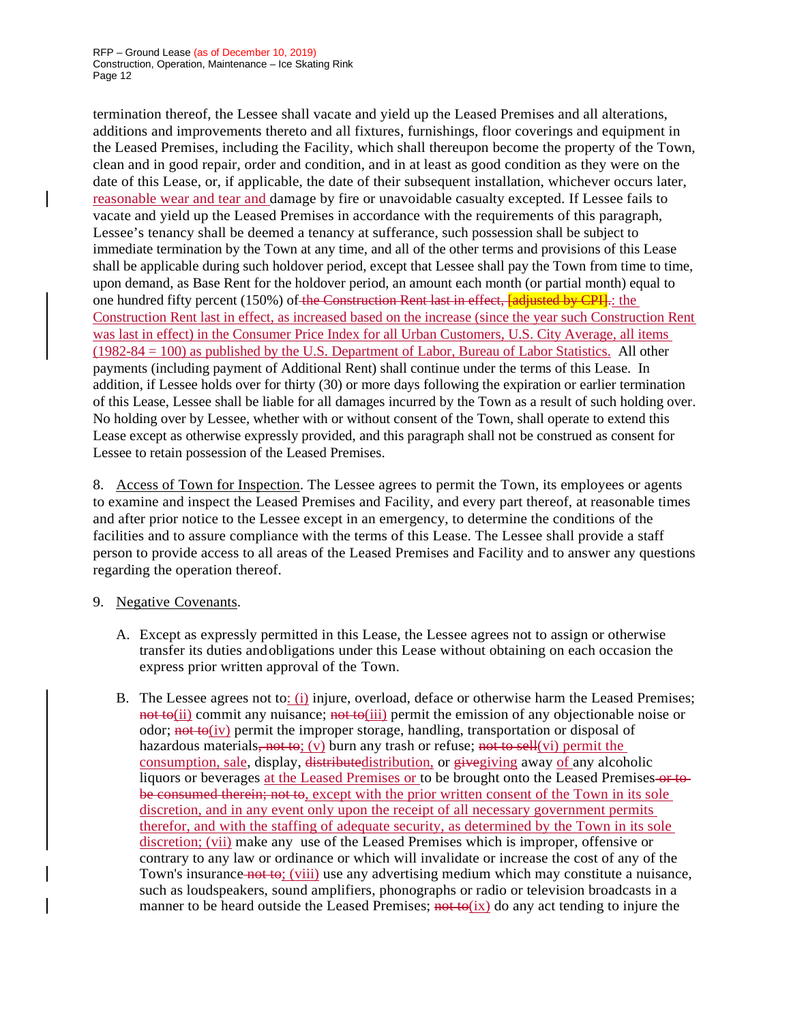termination thereof, the Lessee shall vacate and yield up the Leased Premises and all alterations, additions and improvements thereto and all fixtures, furnishings, floor coverings and equipment in the Leased Premises, including the Facility, which shall thereupon become the property of the Town, clean and in good repair, order and condition, and in at least as good condition as they were on the date of this Lease, or, if applicable, the date of their subsequent installation, whichever occurs later, reasonable wear and tear and damage by fire or unavoidable casualty excepted. If Lessee fails to vacate and yield up the Leased Premises in accordance with the requirements of this paragraph, Lessee's tenancy shall be deemed a tenancy at sufferance, such possession shall be subject to immediate termination by the Town at any time, and all of the other terms and provisions of this Lease shall be applicable during such holdover period, except that Lessee shall pay the Town from time to time, upon demand, as Base Rent for the holdover period, an amount each month (or partial month) equal to one hundred fifty percent (150%) of the Construction Rent last in effect, and in the CPI. the Construction Rent last in effect, as increased based on the increase (since the year such Construction Rent was last in effect) in the Consumer Price Index for all Urban Customers, U.S. City Average, all items (1982-84 = 100) as published by the U.S. Department of Labor, Bureau of Labor Statistics. All other payments (including payment of Additional Rent) shall continue under the terms of this Lease. In addition, if Lessee holds over for thirty (30) or more days following the expiration or earlier termination of this Lease, Lessee shall be liable for all damages incurred by the Town as a result of such holding over. No holding over by Lessee, whether with or without consent of the Town, shall operate to extend this Lease except as otherwise expressly provided, and this paragraph shall not be construed as consent for Lessee to retain possession of the Leased Premises.

8. Access of Town for Inspection. The Lessee agrees to permit the Town, its employees or agents to examine and inspect the Leased Premises and Facility, and every part thereof, at reasonable times and after prior notice to the Lessee except in an emergency, to determine the conditions of the facilities and to assure compliance with the terms of this Lease. The Lessee shall provide a staff person to provide access to all areas of the Leased Premises and Facility and to answer any questions regarding the operation thereof.

#### 9. Negative Covenants.

- A. Except as expressly permitted in this Lease, the Lessee agrees not to assign or otherwise transfer its duties andobligations under this Lease without obtaining on each occasion the express prior written approval of the Town.
- B. The Lessee agrees not to: (i) injure, overload, deface or otherwise harm the Leased Premises; not to(ii) commit any nuisance; not to(iii) permit the emission of any objectionable noise or odor;  $\frac{\text{not } \text{to}(iv)}{\text{perm}}$  the improper storage, handling, transportation or disposal of hazardous materials, not to; (v) burn any trash or refuse; not to sell(vi) permit the consumption, sale, display, distributedistribution, or give giving away of any alcoholic liquors or beverages at the Leased Premises or to be brought onto the Leased Premises-or tobe consumed therein; not to, except with the prior written consent of the Town in its sole discretion, and in any event only upon the receipt of all necessary government permits therefor, and with the staffing of adequate security, as determined by the Town in its sole discretion; (vii) make any use of the Leased Premises which is improper, offensive or contrary to any law or ordinance or which will invalidate or increase the cost of any of the Town's insurance not to; (viii) use any advertising medium which may constitute a nuisance, such as loudspeakers, sound amplifiers, phonographs or radio or television broadcasts in a manner to be heard outside the Leased Premises; not to  $(ix)$  do any act tending to injure the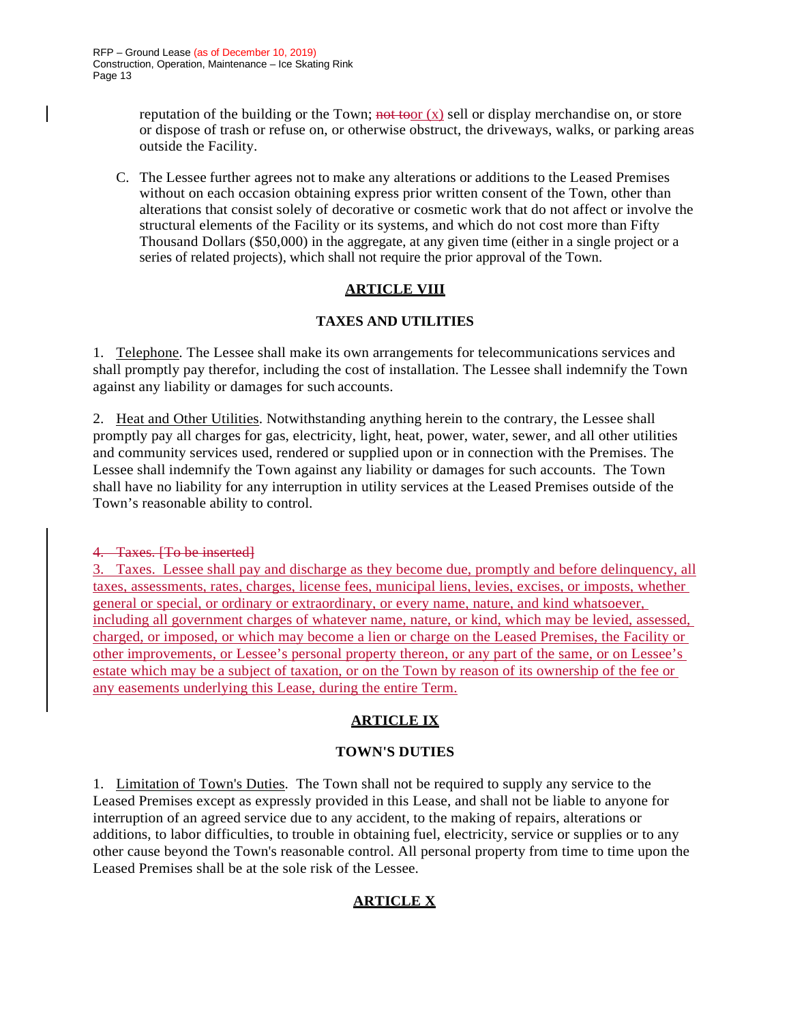reputation of the building or the Town; not toor  $(x)$  sell or display merchandise on, or store or dispose of trash or refuse on, or otherwise obstruct, the driveways, walks, or parking areas outside the Facility.

C. The Lessee further agrees not to make any alterations or additions to the Leased Premises without on each occasion obtaining express prior written consent of the Town, other than alterations that consist solely of decorative or cosmetic work that do not affect or involve the structural elements of the Facility or its systems, and which do not cost more than Fifty Thousand Dollars (\$50,000) in the aggregate, at any given time (either in a single project or a series of related projects), which shall not require the prior approval of the Town.

## **ARTICLE VIII**

## **TAXES AND UTILITIES**

1. Telephone. The Lessee shall make its own arrangements for telecommunications services and shall promptly pay therefor, including the cost of installation. The Lessee shall indemnify the Town against any liability or damages for such accounts.

2. Heat and Other Utilities. Notwithstanding anything herein to the contrary, the Lessee shall promptly pay all charges for gas, electricity, light, heat, power, water, sewer, and all other utilities and community services used, rendered or supplied upon or in connection with the Premises. The Lessee shall indemnify the Town against any liability or damages for such accounts. The Town shall have no liability for any interruption in utility services at the Leased Premises outside of the Town's reasonable ability to control.

4. Taxes. [To be inserted]

3. Taxes. Lessee shall pay and discharge as they become due, promptly and before delinquency, all taxes, assessments, rates, charges, license fees, municipal liens, levies, excises, or imposts, whether general or special, or ordinary or extraordinary, or every name, nature, and kind whatsoever, including all government charges of whatever name, nature, or kind, which may be levied, assessed, charged, or imposed, or which may become a lien or charge on the Leased Premises, the Facility or other improvements, or Lessee's personal property thereon, or any part of the same, or on Lessee's estate which may be a subject of taxation, or on the Town by reason of its ownership of the fee or any easements underlying this Lease, during the entire Term.

## **ARTICLE IX**

## **TOWN'S DUTIES**

1. Limitation of Town's Duties. The Town shall not be required to supply any service to the Leased Premises except as expressly provided in this Lease, and shall not be liable to anyone for interruption of an agreed service due to any accident, to the making of repairs, alterations or additions, to labor difficulties, to trouble in obtaining fuel, electricity, service or supplies or to any other cause beyond the Town's reasonable control. All personal property from time to time upon the Leased Premises shall be at the sole risk of the Lessee.

# **ARTICLE X**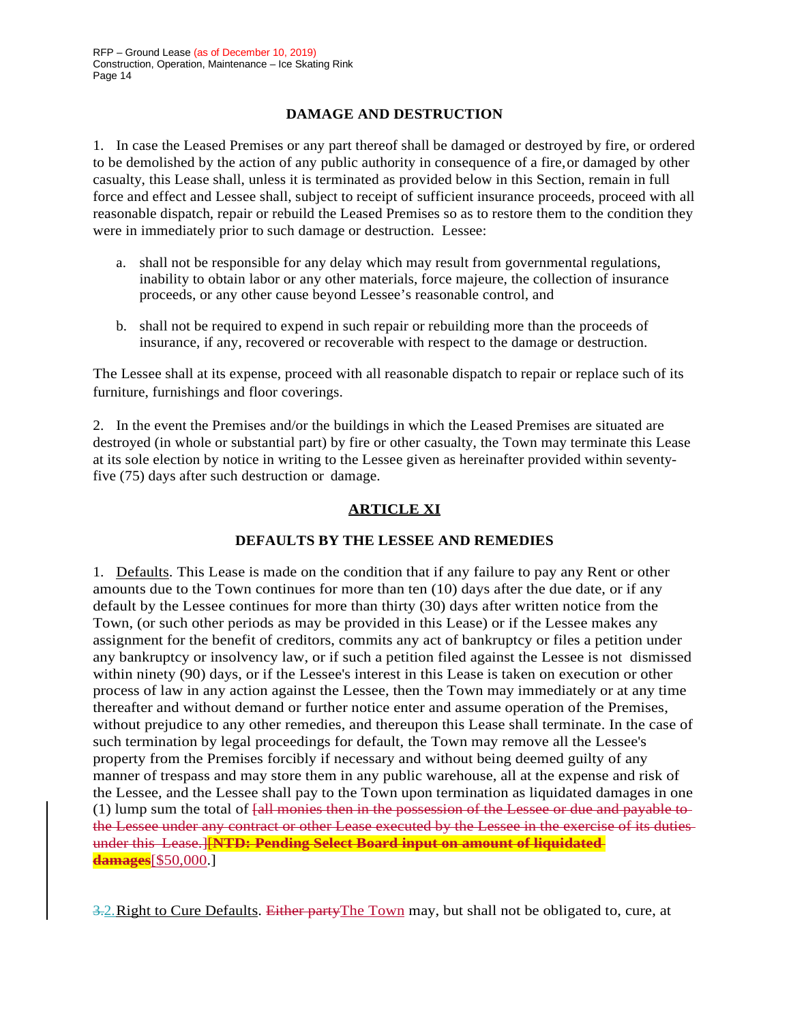## **DAMAGE AND DESTRUCTION**

1. In case the Leased Premises or any part thereof shall be damaged or destroyed by fire, or ordered to be demolished by the action of any public authority in consequence of a fire,or damaged by other casualty, this Lease shall, unless it is terminated as provided below in this Section, remain in full force and effect and Lessee shall, subject to receipt of sufficient insurance proceeds, proceed with all reasonable dispatch, repair or rebuild the Leased Premises so as to restore them to the condition they were in immediately prior to such damage or destruction. Lessee:

- a. shall not be responsible for any delay which may result from governmental regulations, inability to obtain labor or any other materials, force majeure, the collection of insurance proceeds, or any other cause beyond Lessee's reasonable control, and
- b. shall not be required to expend in such repair or rebuilding more than the proceeds of insurance, if any, recovered or recoverable with respect to the damage or destruction.

The Lessee shall at its expense, proceed with all reasonable dispatch to repair or replace such of its furniture, furnishings and floor coverings.

2. In the event the Premises and/or the buildings in which the Leased Premises are situated are destroyed (in whole or substantial part) by fire or other casualty, the Town may terminate this Lease at its sole election by notice in writing to the Lessee given as hereinafter provided within seventyfive (75) days after such destruction or damage.

### **ARTICLE XI**

#### **DEFAULTS BY THE LESSEE AND REMEDIES**

1. Defaults. This Lease is made on the condition that if any failure to pay any Rent or other amounts due to the Town continues for more than ten (10) days after the due date, or if any default by the Lessee continues for more than thirty (30) days after written notice from the Town, (or such other periods as may be provided in this Lease) or if the Lessee makes any assignment for the benefit of creditors, commits any act of bankruptcy or files a petition under any bankruptcy or insolvency law, or if such a petition filed against the Lessee is not dismissed within ninety (90) days, or if the Lessee's interest in this Lease is taken on execution or other process of law in any action against the Lessee, then the Town may immediately or at any time thereafter and without demand or further notice enter and assume operation of the Premises, without prejudice to any other remedies, and thereupon this Lease shall terminate. In the case of such termination by legal proceedings for default, the Town may remove all the Lessee's property from the Premises forcibly if necessary and without being deemed guilty of any manner of trespass and may store them in any public warehouse, all at the expense and risk of the Lessee, and the Lessee shall pay to the Town upon termination as liquidated damages in one (1) lump sum the total of [all monies then in the possession of the Lessee or due and payable to the Lessee under any contract or other Lease executed by the Lessee in the exercise of its duties under this Lease.][**NTD: Pending Select Board input on amount of liquidated damages**[\$50,000.]

3.2. Right to Cure Defaults. Either party The Town may, but shall not be obligated to, cure, at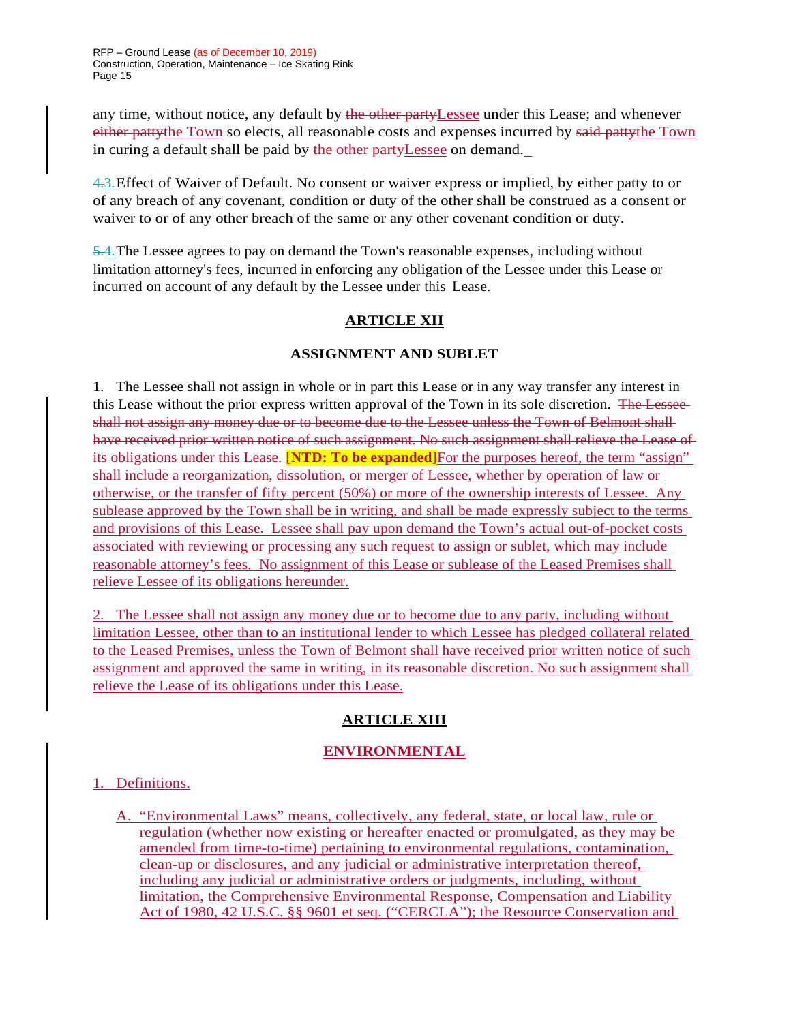any time, without notice, any default by the other party Lessee under this Lease; and whenever either pattythe Town so elects, all reasonable costs and expenses incurred by said pattythe Town in curing a default shall be paid by the other partyLessee on demand.

4.3.Effect of Waiver of Default. No consent or waiver express or implied, by either patty to or of any breach of any covenant, condition or duty of the other shall be construed as a consent or waiver to or of any other breach of the same or any other covenant condition or duty.

5.4.The Lessee agrees to pay on demand the Town's reasonable expenses, including without limitation attorney's fees, incurred in enforcing any obligation of the Lessee under this Lease or incurred on account of any default by the Lessee under this Lease.

# **ARTICLE XII**

## **ASSIGNMENT AND SUBLET**

1. The Lessee shall not assign in whole or in part this Lease or in any way transfer any interest in this Lease without the prior express written approval of the Town in its sole discretion. The Lesseeshall not assign any money due or to become due to the Lessee unless the Town of Belmont shall have received prior written notice of such assignment. No such assignment shall relieve the Lease of its obligations under this Lease. **[NTD: To be expanded**] For the purposes hereof, the term "assign" shall include a reorganization, dissolution, or merger of Lessee, whether by operation of law or otherwise, or the transfer of fifty percent (50%) or more of the ownership interests of Lessee. Any sublease approved by the Town shall be in writing, and shall be made expressly subject to the terms and provisions of this Lease. Lessee shall pay upon demand the Town's actual out-of-pocket costs associated with reviewing or processing any such request to assign or sublet, which may include reasonable attorney's fees. No assignment of this Lease or sublease of the Leased Premises shall relieve Lessee of its obligations hereunder.

2. The Lessee shall not assign any money due or to become due to any party, including without limitation Lessee, other than to an institutional lender to which Lessee has pledged collateral related to the Leased Premises, unless the Town of Belmont shall have received prior written notice of such assignment and approved the same in writing, in its reasonable discretion. No such assignment shall relieve the Lease of its obligations under this Lease.

## **ARTICLE XIII**

# **ENVIRONMENTAL**

## 1. Definitions.

A. "Environmental Laws" means, collectively, any federal, state, or local law, rule or regulation (whether now existing or hereafter enacted or promulgated, as they may be amended from time-to-time) pertaining to environmental regulations, contamination, clean-up or disclosures, and any judicial or administrative interpretation thereof, including any judicial or administrative orders or judgments, including, without limitation, the Comprehensive Environmental Response, Compensation and Liability Act of 1980, 42 U.S.C. §§ 9601 et seq. ("CERCLA"); the Resource Conservation and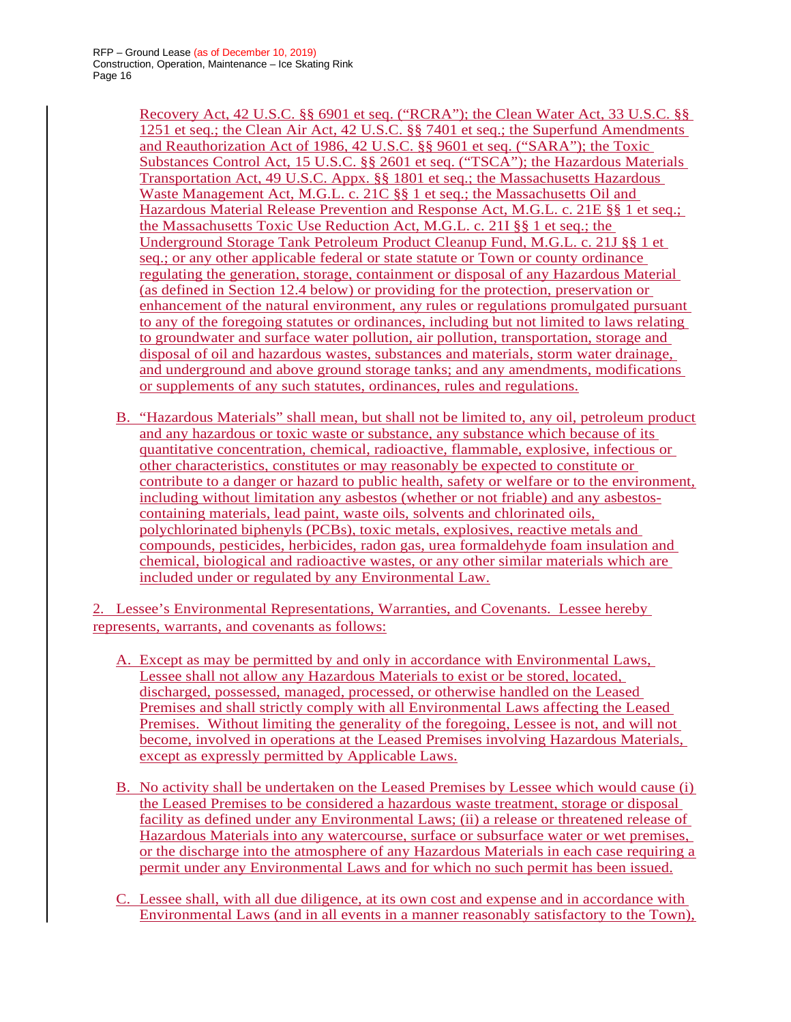Recovery Act, 42 U.S.C. §§ 6901 et seq. ("RCRA"); the Clean Water Act, 33 U.S.C. §§ 1251 et seq.; the Clean Air Act, 42 U.S.C. §§ 7401 et seq.; the Superfund Amendments and Reauthorization Act of 1986, 42 U.S.C. §§ 9601 et seq. ("SARA"); the Toxic Substances Control Act, 15 U.S.C. §§ 2601 et seq. ("TSCA"); the Hazardous Materials Transportation Act, 49 U.S.C. Appx. §§ 1801 et seq.; the Massachusetts Hazardous Waste Management Act, M.G.L. c. 21C §§ 1 et seq.; the Massachusetts Oil and Hazardous Material Release Prevention and Response Act, M.G.L. c. 21E §§ 1 et seq.; the Massachusetts Toxic Use Reduction Act, M.G.L. c. 21I §§ 1 et seq.; the Underground Storage Tank Petroleum Product Cleanup Fund, M.G.L. c. 21J §§ 1 et seq.; or any other applicable federal or state statute or Town or county ordinance regulating the generation, storage, containment or disposal of any Hazardous Material (as defined in Section 12.4 below) or providing for the protection, preservation or enhancement of the natural environment, any rules or regulations promulgated pursuant to any of the foregoing statutes or ordinances, including but not limited to laws relating to groundwater and surface water pollution, air pollution, transportation, storage and disposal of oil and hazardous wastes, substances and materials, storm water drainage, and underground and above ground storage tanks; and any amendments, modifications or supplements of any such statutes, ordinances, rules and regulations.

B. "Hazardous Materials" shall mean, but shall not be limited to, any oil, petroleum product and any hazardous or toxic waste or substance, any substance which because of its quantitative concentration, chemical, radioactive, flammable, explosive, infectious or other characteristics, constitutes or may reasonably be expected to constitute or contribute to a danger or hazard to public health, safety or welfare or to the environment, including without limitation any asbestos (whether or not friable) and any asbestoscontaining materials, lead paint, waste oils, solvents and chlorinated oils, polychlorinated biphenyls (PCBs), toxic metals, explosives, reactive metals and compounds, pesticides, herbicides, radon gas, urea formaldehyde foam insulation and chemical, biological and radioactive wastes, or any other similar materials which are included under or regulated by any Environmental Law.

2. Lessee's Environmental Representations, Warranties, and Covenants. Lessee hereby represents, warrants, and covenants as follows:

- A. Except as may be permitted by and only in accordance with Environmental Laws, Lessee shall not allow any Hazardous Materials to exist or be stored, located, discharged, possessed, managed, processed, or otherwise handled on the Leased Premises and shall strictly comply with all Environmental Laws affecting the Leased Premises. Without limiting the generality of the foregoing, Lessee is not, and will not become, involved in operations at the Leased Premises involving Hazardous Materials, except as expressly permitted by Applicable Laws.
- B. No activity shall be undertaken on the Leased Premises by Lessee which would cause (i) the Leased Premises to be considered a hazardous waste treatment, storage or disposal facility as defined under any Environmental Laws; (ii) a release or threatened release of Hazardous Materials into any watercourse, surface or subsurface water or wet premises, or the discharge into the atmosphere of any Hazardous Materials in each case requiring a permit under any Environmental Laws and for which no such permit has been issued.
- C. Lessee shall, with all due diligence, at its own cost and expense and in accordance with Environmental Laws (and in all events in a manner reasonably satisfactory to the Town),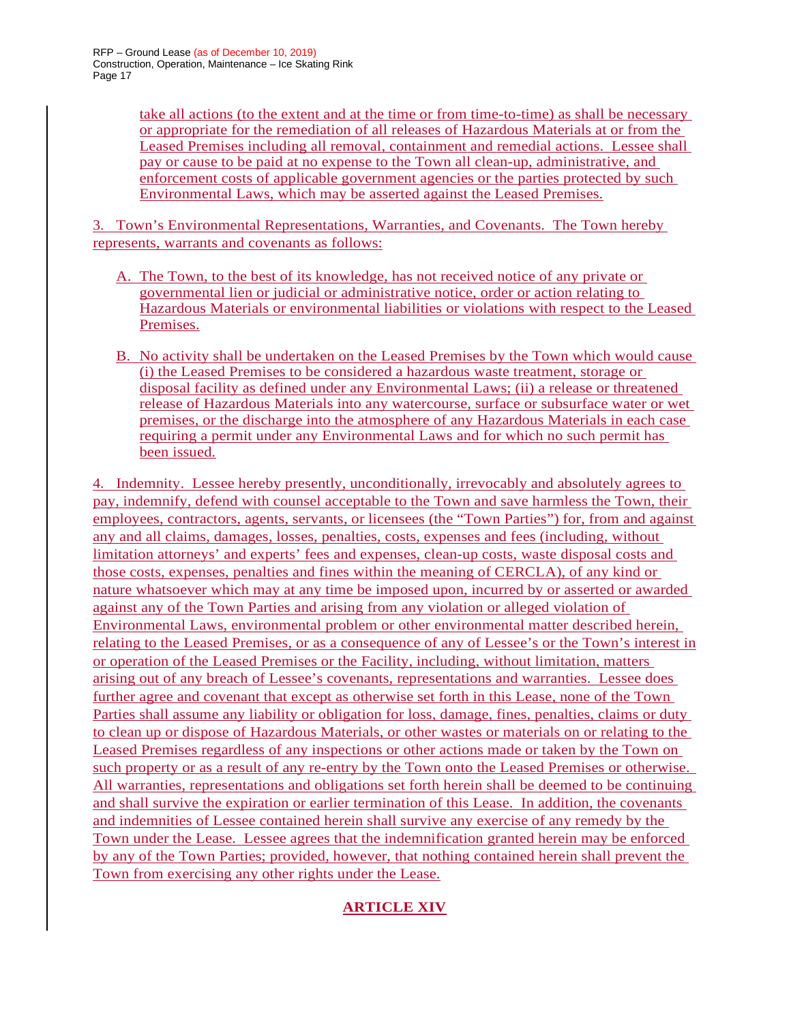take all actions (to the extent and at the time or from time-to-time) as shall be necessary or appropriate for the remediation of all releases of Hazardous Materials at or from the Leased Premises including all removal, containment and remedial actions. Lessee shall pay or cause to be paid at no expense to the Town all clean-up, administrative, and enforcement costs of applicable government agencies or the parties protected by such Environmental Laws, which may be asserted against the Leased Premises.

3. Town's Environmental Representations, Warranties, and Covenants. The Town hereby represents, warrants and covenants as follows:

- A. The Town, to the best of its knowledge, has not received notice of any private or governmental lien or judicial or administrative notice, order or action relating to Hazardous Materials or environmental liabilities or violations with respect to the Leased Premises.
- B. No activity shall be undertaken on the Leased Premises by the Town which would cause (i) the Leased Premises to be considered a hazardous waste treatment, storage or disposal facility as defined under any Environmental Laws; (ii) a release or threatened release of Hazardous Materials into any watercourse, surface or subsurface water or wet premises, or the discharge into the atmosphere of any Hazardous Materials in each case requiring a permit under any Environmental Laws and for which no such permit has been issued.

4. Indemnity. Lessee hereby presently, unconditionally, irrevocably and absolutely agrees to pay, indemnify, defend with counsel acceptable to the Town and save harmless the Town, their employees, contractors, agents, servants, or licensees (the "Town Parties") for, from and against any and all claims, damages, losses, penalties, costs, expenses and fees (including, without limitation attorneys' and experts' fees and expenses, clean-up costs, waste disposal costs and those costs, expenses, penalties and fines within the meaning of CERCLA), of any kind or nature whatsoever which may at any time be imposed upon, incurred by or asserted or awarded against any of the Town Parties and arising from any violation or alleged violation of Environmental Laws, environmental problem or other environmental matter described herein, relating to the Leased Premises, or as a consequence of any of Lessee's or the Town's interest in or operation of the Leased Premises or the Facility, including, without limitation, matters arising out of any breach of Lessee's covenants, representations and warranties. Lessee does further agree and covenant that except as otherwise set forth in this Lease, none of the Town Parties shall assume any liability or obligation for loss, damage, fines, penalties, claims or duty to clean up or dispose of Hazardous Materials, or other wastes or materials on or relating to the Leased Premises regardless of any inspections or other actions made or taken by the Town on such property or as a result of any re-entry by the Town onto the Leased Premises or otherwise. All warranties, representations and obligations set forth herein shall be deemed to be continuing and shall survive the expiration or earlier termination of this Lease. In addition, the covenants and indemnities of Lessee contained herein shall survive any exercise of any remedy by the Town under the Lease. Lessee agrees that the indemnification granted herein may be enforced by any of the Town Parties; provided, however, that nothing contained herein shall prevent the Town from exercising any other rights under the Lease.

# **ARTICLE XIV**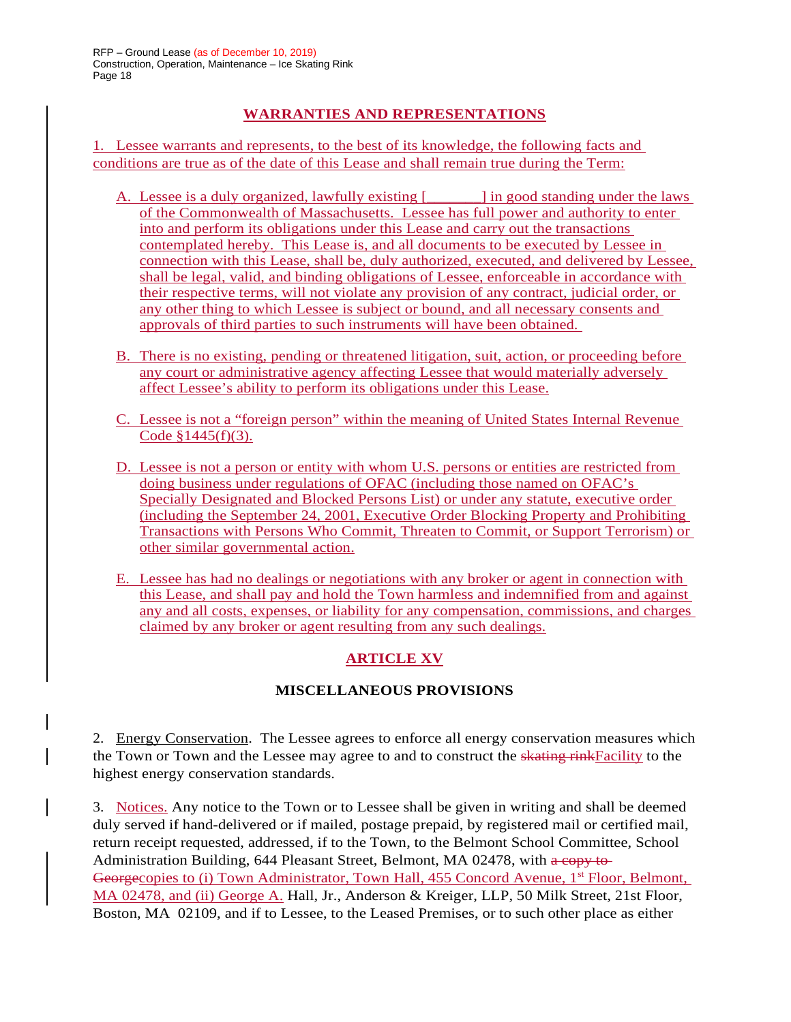## **WARRANTIES AND REPRESENTATIONS**

1. Lessee warrants and represents, to the best of its knowledge, the following facts and conditions are true as of the date of this Lease and shall remain true during the Term:

- A. Lessee is a duly organized, lawfully existing  $\begin{bmatrix} \cdot & \cdot & \cdot \\ \cdot & \cdot & \cdot \\ \cdot & \cdot & \cdot \end{bmatrix}$  in good standing under the laws of the Commonwealth of Massachusetts. Lessee has full power and authority to enter into and perform its obligations under this Lease and carry out the transactions contemplated hereby. This Lease is, and all documents to be executed by Lessee in connection with this Lease, shall be, duly authorized, executed, and delivered by Lessee, shall be legal, valid, and binding obligations of Lessee, enforceable in accordance with their respective terms, will not violate any provision of any contract, judicial order, or any other thing to which Lessee is subject or bound, and all necessary consents and approvals of third parties to such instruments will have been obtained.
- B. There is no existing, pending or threatened litigation, suit, action, or proceeding before any court or administrative agency affecting Lessee that would materially adversely affect Lessee's ability to perform its obligations under this Lease.
- C. Lessee is not a "foreign person" within the meaning of United States Internal Revenue Code  $$1445(f)(3)$ .
- D. Lessee is not a person or entity with whom U.S. persons or entities are restricted from doing business under regulations of OFAC (including those named on OFAC's Specially Designated and Blocked Persons List) or under any statute, executive order (including the September 24, 2001, Executive Order Blocking Property and Prohibiting Transactions with Persons Who Commit, Threaten to Commit, or Support Terrorism) or other similar governmental action.
- E. Lessee has had no dealings or negotiations with any broker or agent in connection with this Lease, and shall pay and hold the Town harmless and indemnified from and against any and all costs, expenses, or liability for any compensation, commissions, and charges claimed by any broker or agent resulting from any such dealings.

# **ARTICLE XV**

## **MISCELLANEOUS PROVISIONS**

2. Energy Conservation. The Lessee agrees to enforce all energy conservation measures which the Town or Town and the Lessee may agree to and to construct the skating rink Facility to the highest energy conservation standards.

3. Notices. Any notice to the Town or to Lessee shall be given in writing and shall be deemed duly served if hand-delivered or if mailed, postage prepaid, by registered mail or certified mail, return receipt requested, addressed, if to the Town, to the Belmont School Committee, School Administration Building,  $644$  Pleasant Street, Belmont, MA 02478, with  $a$  copy to Georgecopies to (i) Town Administrator, Town Hall, 455 Concord Avenue, 1<sup>st</sup> Floor, Belmont, MA 02478, and (ii) George A. Hall, Jr., Anderson & Kreiger, LLP, 50 Milk Street, 21st Floor, Boston, MA 02109, and if to Lessee, to the Leased Premises, or to such other place as either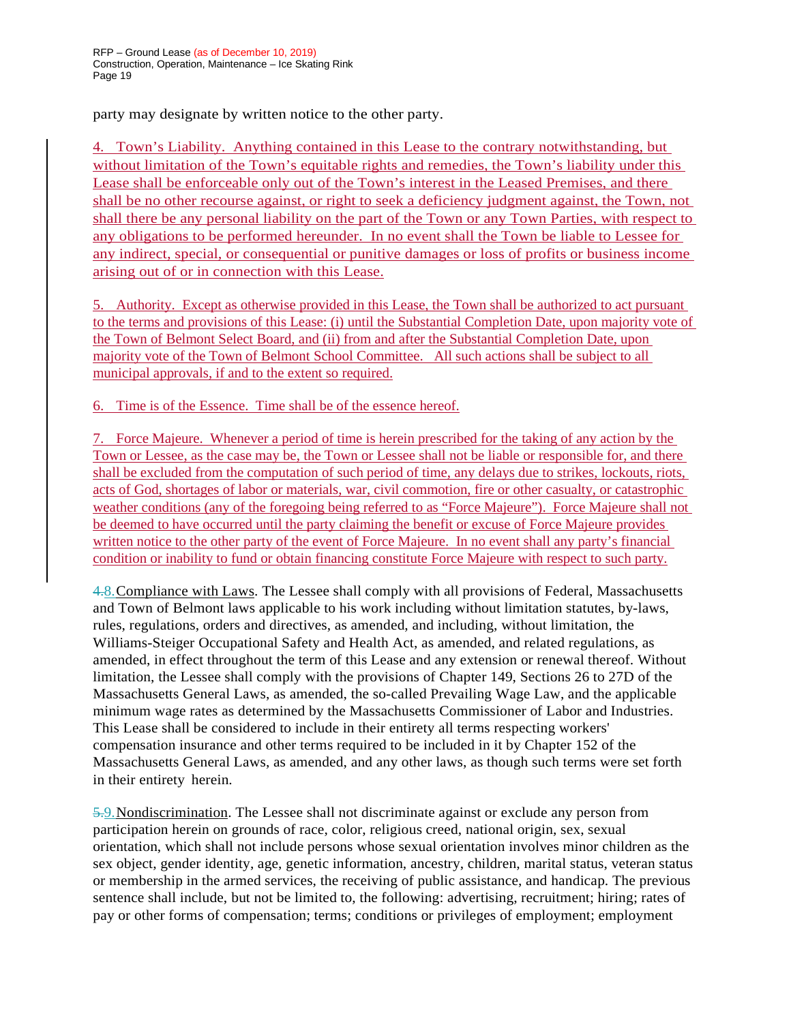party may designate by written notice to the other party.

4. Town's Liability. Anything contained in this Lease to the contrary notwithstanding, but without limitation of the Town's equitable rights and remedies, the Town's liability under this Lease shall be enforceable only out of the Town's interest in the Leased Premises, and there shall be no other recourse against, or right to seek a deficiency judgment against, the Town, not shall there be any personal liability on the part of the Town or any Town Parties, with respect to any obligations to be performed hereunder. In no event shall the Town be liable to Lessee for any indirect, special, or consequential or punitive damages or loss of profits or business income arising out of or in connection with this Lease.

5. Authority. Except as otherwise provided in this Lease, the Town shall be authorized to act pursuant to the terms and provisions of this Lease: (i) until the Substantial Completion Date, upon majority vote of the Town of Belmont Select Board, and (ii) from and after the Substantial Completion Date, upon majority vote of the Town of Belmont School Committee. All such actions shall be subject to all municipal approvals, if and to the extent so required.

Time is of the Essence. Time shall be of the essence hereof.

7. Force Majeure. Whenever a period of time is herein prescribed for the taking of any action by the Town or Lessee, as the case may be, the Town or Lessee shall not be liable or responsible for, and there shall be excluded from the computation of such period of time, any delays due to strikes, lockouts, riots, acts of God, shortages of labor or materials, war, civil commotion, fire or other casualty, or catastrophic weather conditions (any of the foregoing being referred to as "Force Majeure"). Force Majeure shall not be deemed to have occurred until the party claiming the benefit or excuse of Force Majeure provides written notice to the other party of the event of Force Majeure. In no event shall any party's financial condition or inability to fund or obtain financing constitute Force Majeure with respect to such party.

4.8.Compliance with Laws. The Lessee shall comply with all provisions of Federal, Massachusetts and Town of Belmont laws applicable to his work including without limitation statutes, by-laws, rules, regulations, orders and directives, as amended, and including, without limitation, the Williams-Steiger Occupational Safety and Health Act, as amended, and related regulations, as amended, in effect throughout the term of this Lease and any extension or renewal thereof. Without limitation, the Lessee shall comply with the provisions of Chapter 149, Sections 26 to 27D of the Massachusetts General Laws, as amended, the so-called Prevailing Wage Law, and the applicable minimum wage rates as determined by the Massachusetts Commissioner of Labor and Industries. This Lease shall be considered to include in their entirety all terms respecting workers' compensation insurance and other terms required to be included in it by Chapter 152 of the Massachusetts General Laws, as amended, and any other laws, as though such terms were set forth in their entirety herein.

5.9.Nondiscrimination. The Lessee shall not discriminate against or exclude any person from participation herein on grounds of race, color, religious creed, national origin, sex, sexual orientation, which shall not include persons whose sexual orientation involves minor children as the sex object, gender identity, age, genetic information, ancestry, children, marital status, veteran status or membership in the armed services, the receiving of public assistance, and handicap. The previous sentence shall include, but not be limited to, the following: advertising, recruitment; hiring; rates of pay or other forms of compensation; terms; conditions or privileges of employment; employment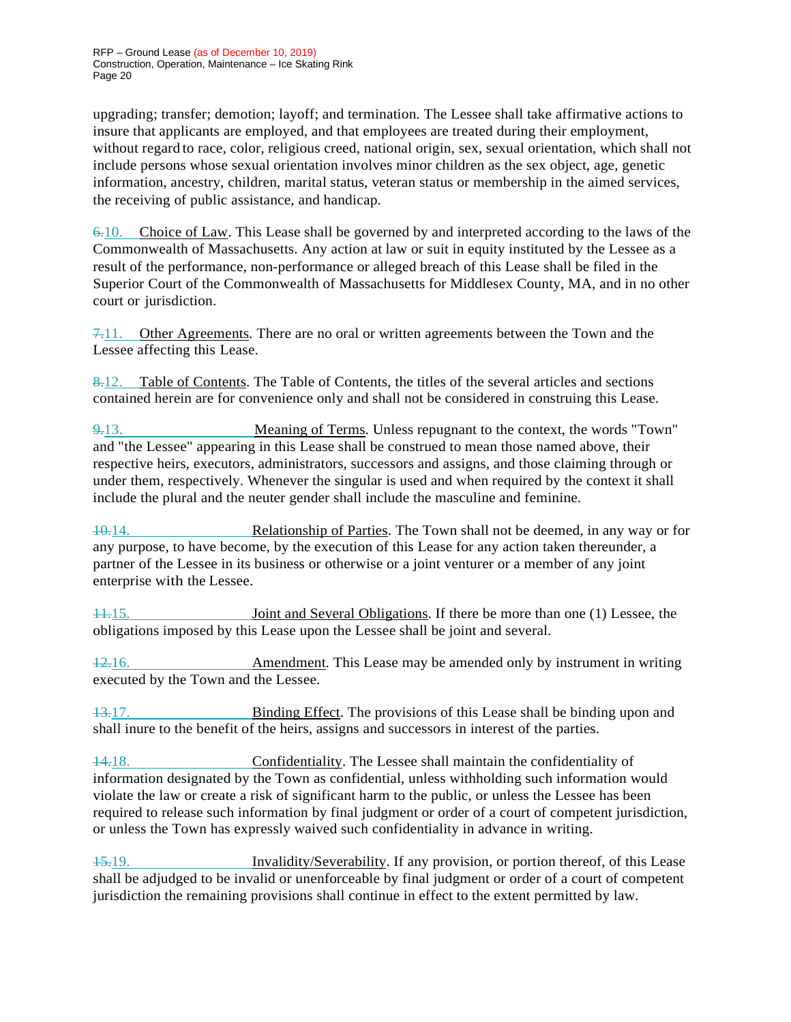upgrading; transfer; demotion; layoff; and termination. The Lessee shall take affirmative actions to insure that applicants are employed, and that employees are treated during their employment, without regard to race, color, religious creed, national origin, sex, sexual orientation, which shall not include persons whose sexual orientation involves minor children as the sex object, age, genetic information, ancestry, children, marital status, veteran status or membership in the aimed services, the receiving of public assistance, and handicap.

6.10. Choice of Law. This Lease shall be governed by and interpreted according to the laws of the Commonwealth of Massachusetts. Any action at law or suit in equity instituted by the Lessee as a result of the performance, non-performance or alleged breach of this Lease shall be filed in the Superior Court of the Commonwealth of Massachusetts for Middlesex County, MA, and in no other court or jurisdiction.

7.11. Other Agreements. There are no oral or written agreements between the Town and the Lessee affecting this Lease.

8.12. Table of Contents. The Table of Contents, the titles of the several articles and sections contained herein are for convenience only and shall not be considered in construing this Lease.

9.13. Meaning of Terms. Unless repugnant to the context, the words "Town" and "the Lessee" appearing in this Lease shall be construed to mean those named above, their respective heirs, executors, administrators, successors and assigns, and those claiming through or under them, respectively. Whenever the singular is used and when required by the context it shall include the plural and the neuter gender shall include the masculine and feminine.

10.14. Relationship of Parties. The Town shall not be deemed, in any way or for any purpose, to have become, by the execution of this Lease for any action taken thereunder, a partner of the Lessee in its business or otherwise or a joint venturer or a member of any joint enterprise with the Lessee.

11.15. Joint and Several Obligations. If there be more than one (1) Lessee, the obligations imposed by this Lease upon the Lessee shall be joint and several.

12.16. Amendment. This Lease may be amended only by instrument in writing executed by the Town and the Lessee.

13.17. Binding Effect. The provisions of this Lease shall be binding upon and shall inure to the benefit of the heirs, assigns and successors in interest of the parties.

14.18. Confidentiality. The Lessee shall maintain the confidentiality of information designated by the Town as confidential, unless withholding such information would violate the law or create a risk of significant harm to the public, or unless the Lessee has been required to release such information by final judgment or order of a court of competent jurisdiction, or unless the Town has expressly waived such confidentiality in advance in writing.

15.19. Invalidity/Severability. If any provision, or portion thereof, of this Lease shall be adjudged to be invalid or unenforceable by final judgment or order of a court of competent jurisdiction the remaining provisions shall continue in effect to the extent permitted by law.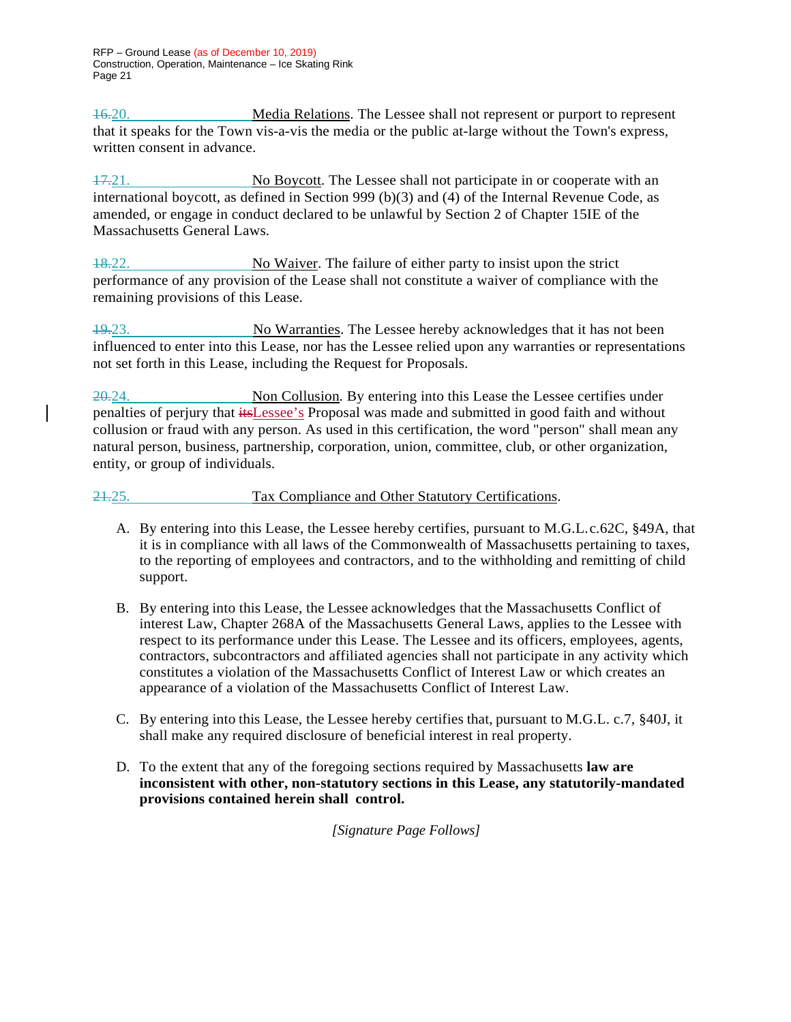RFP – Ground Lease (as of December 10, 2019) Construction, Operation, Maintenance – Ice Skating Rink Page 21

16.20. Media Relations. The Lessee shall not represent or purport to represent that it speaks for the Town vis-a-vis the media or the public at-large without the Town's express, written consent in advance.

17.21. No Boycott. The Lessee shall not participate in or cooperate with an international boycott, as defined in Section 999 (b)(3) and (4) of the Internal Revenue Code, as amended, or engage in conduct declared to be unlawful by Section 2 of Chapter 15IE of the Massachusetts General Laws.

18.22. No Waiver. The failure of either party to insist upon the strict performance of any provision of the Lease shall not constitute a waiver of compliance with the remaining provisions of this Lease.

19.23. No Warranties. The Lessee hereby acknowledges that it has not been influenced to enter into this Lease, nor has the Lessee relied upon any warranties or representations not set forth in this Lease, including the Request for Proposals.

20.24. Non Collusion. By entering into this Lease the Lessee certifies under penalties of perjury that itsLessee's Proposal was made and submitted in good faith and without collusion or fraud with any person. As used in this certification, the word "person" shall mean any natural person, business, partnership, corporation, union, committee, club, or other organization, entity, or group of individuals.

21.25. Tax Compliance and Other Statutory Certifications.

- A. By entering into this Lease, the Lessee hereby certifies, pursuant to M.G.L.c.62C, §49A, that it is in compliance with all laws of the Commonwealth of Massachusetts pertaining to taxes, to the reporting of employees and contractors, and to the withholding and remitting of child support.
- B. By entering into this Lease, the Lessee acknowledges that the Massachusetts Conflict of interest Law, Chapter 268A of the Massachusetts General Laws, applies to the Lessee with respect to its performance under this Lease. The Lessee and its officers, employees, agents, contractors, subcontractors and affiliated agencies shall not participate in any activity which constitutes a violation of the Massachusetts Conflict of Interest Law or which creates an appearance of a violation of the Massachusetts Conflict of Interest Law.
- C. By entering into this Lease, the Lessee hereby certifies that, pursuant to M.G.L. c.7, §40J, it shall make any required disclosure of beneficial interest in real property.
- D. To the extent that any of the foregoing sections required by Massachusetts **law are inconsistent with other, non-statutory sections in this Lease, any statutorily-mandated provisions contained herein shall control.**

*[Signature Page Follows]*